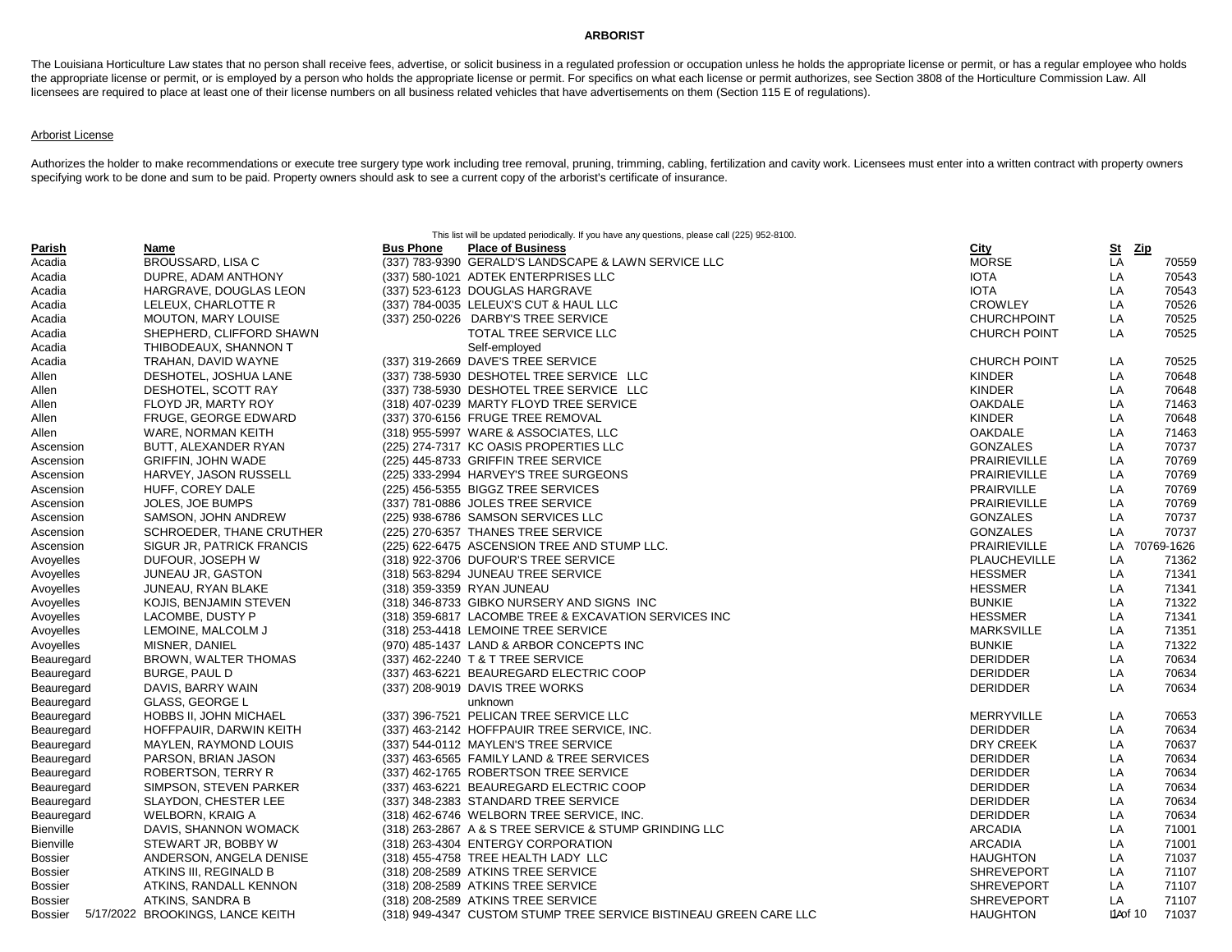## **ARBORIST**

The Louisiana Horticulture Law states that no person shall receive fees, advertise, or solicit business in a regulated profession or occupation unless he holds the appropriate license or permit, or has a regular employee w the appropriate license or permit, or is employed by a person who holds the appropriate license or permit. For specifics on what each license or permit authorizes, see Section 3808 of the Horticulture Commission Law. All licensees are required to place at least one of their license numbers on all business related vehicles that have advertisements on them (Section 115 E of regulations).

## Arborist License

Authorizes the holder to make recommendations or execute tree surgery type work including tree removal, pruning, trimming, cabling, fertilization and cavity work. Licensees must enter into a written contract with property specifying work to be done and sum to be paid. Property owners should ask to see a current copy of the arborist's certificate of insurance.

|                |                                  |                  | This list will be updated periodically. If you have any questions, please call (225) 952-8100. |                     |           |            |
|----------------|----------------------------------|------------------|------------------------------------------------------------------------------------------------|---------------------|-----------|------------|
| Parish         | Name                             | <b>Bus Phone</b> | <b>Place of Business</b>                                                                       | <b>City</b>         | S₫        | <u>Zip</u> |
| Acadia         | BROUSSARD, LISA C                |                  | (337) 783-9390 GERALD'S LANDSCAPE & LAWN SERVICE LLC                                           | <b>MORSE</b>        | LA        | 70559      |
| Acadia         | DUPRE, ADAM ANTHONY              |                  | (337) 580-1021 ADTEK ENTERPRISES LLC                                                           | <b>IOTA</b>         | LA        | 70543      |
| Acadia         | HARGRAVE, DOUGLAS LEON           |                  | (337) 523-6123 DOUGLAS HARGRAVE                                                                | <b>IOTA</b>         | LA        | 70543      |
| Acadia         | LELEUX, CHARLOTTE R              |                  | (337) 784-0035 LELEUX'S CUT & HAUL LLC                                                         | <b>CROWLEY</b>      | LA        | 70526      |
| Acadia         | <b>MOUTON, MARY LOUISE</b>       |                  | (337) 250-0226 DARBY'S TREE SERVICE                                                            | <b>CHURCHPOINT</b>  | LA        | 70525      |
| Acadia         | SHEPHERD, CLIFFORD SHAWN         |                  | TOTAL TREE SERVICE LLC                                                                         | <b>CHURCH POINT</b> | LA        | 70525      |
| Acadia         | THIBODEAUX, SHANNON T            |                  | Self-employed                                                                                  |                     |           |            |
| Acadia         | TRAHAN, DAVID WAYNE              |                  | (337) 319-2669 DAVE'S TREE SERVICE                                                             | <b>CHURCH POINT</b> | LA        | 70525      |
| Allen          | DESHOTEL, JOSHUA LANE            |                  | (337) 738-5930 DESHOTEL TREE SERVICE LLC                                                       | <b>KINDER</b>       | LA        | 70648      |
| Allen          | DESHOTEL, SCOTT RAY              |                  | (337) 738-5930 DESHOTEL TREE SERVICE LLC                                                       | <b>KINDER</b>       | LA        | 70648      |
| Allen          | FLOYD JR, MARTY ROY              |                  | (318) 407-0239 MARTY FLOYD TREE SERVICE                                                        | <b>OAKDALE</b>      | LA        | 71463      |
| Allen          | FRUGE, GEORGE EDWARD             |                  | (337) 370-6156 FRUGE TREE REMOVAL                                                              | <b>KINDER</b>       | LA        | 70648      |
| Allen          | WARE, NORMAN KEITH               |                  | (318) 955-5997 WARE & ASSOCIATES, LLC                                                          | <b>OAKDALE</b>      | LA        | 71463      |
| Ascension      | BUTT, ALEXANDER RYAN             |                  | (225) 274-7317 KC OASIS PROPERTIES LLC                                                         | <b>GONZALES</b>     | LA        | 70737      |
| Ascension      | <b>GRIFFIN, JOHN WADE</b>        |                  | (225) 445-8733 GRIFFIN TREE SERVICE                                                            | <b>PRAIRIEVILLE</b> | LA        | 70769      |
| Ascension      | HARVEY, JASON RUSSELL            |                  | (225) 333-2994 HARVEY'S TREE SURGEONS                                                          | <b>PRAIRIEVILLE</b> | LA        | 70769      |
| Ascension      | HUFF, COREY DALE                 |                  | (225) 456-5355 BIGGZ TREE SERVICES                                                             | <b>PRAIRVILLE</b>   | LA        | 70769      |
| Ascension      | <b>JOLES, JOE BUMPS</b>          |                  | (337) 781-0886 JOLES TREE SERVICE                                                              | <b>PRAIRIEVILLE</b> | LA        | 70769      |
| Ascension      | SAMSON, JOHN ANDREW              |                  | (225) 938-6786 SAMSON SERVICES LLC                                                             | <b>GONZALES</b>     | LA        | 70737      |
| Ascension      | SCHROEDER, THANE CRUTHER         |                  | (225) 270-6357 THANES TREE SERVICE                                                             | <b>GONZALES</b>     | LA        | 70737      |
| Ascension      | SIGUR JR, PATRICK FRANCIS        |                  | (225) 622-6475 ASCENSION TREE AND STUMP LLC.                                                   | <b>PRAIRIEVILLE</b> | LA        | 70769-1626 |
| Avoyelles      | DUFOUR, JOSEPH W                 |                  | (318) 922-3706 DUFOUR'S TREE SERVICE                                                           | <b>PLAUCHEVILLE</b> | LA        | 71362      |
| Avoyelles      | JUNEAU JR, GASTON                |                  | (318) 563-8294 JUNEAU TREE SERVICE                                                             | <b>HESSMER</b>      | LA        | 71341      |
| Avoyelles      | JUNEAU, RYAN BLAKE               |                  | (318) 359-3359 RYAN JUNEAU                                                                     | <b>HESSMER</b>      | LA        | 71341      |
| Avoyelles      | KOJIS, BENJAMIN STEVEN           |                  | (318) 346-8733 GIBKO NURSERY AND SIGNS INC                                                     | <b>BUNKIE</b>       | LA        | 71322      |
| Avoyelles      | LACOMBE, DUSTY P                 |                  | (318) 359-6817 LACOMBE TREE & EXCAVATION SERVICES INC                                          | <b>HESSMER</b>      | LA        | 71341      |
| Avoyelles      | LEMOINE, MALCOLM J               |                  | (318) 253-4418 LEMOINE TREE SERVICE                                                            | <b>MARKSVILLE</b>   | LA        | 71351      |
| Avoyelles      | MISNER, DANIEL                   |                  | (970) 485-1437 LAND & ARBOR CONCEPTS INC                                                       | <b>BUNKIE</b>       | LA        | 71322      |
| Beauregard     | <b>BROWN, WALTER THOMAS</b>      |                  | (337) 462-2240 T & T TREE SERVICE                                                              | <b>DERIDDER</b>     | LA        | 70634      |
| Beauregard     | BURGE, PAUL D                    |                  | (337) 463-6221 BEAUREGARD ELECTRIC COOP                                                        | <b>DERIDDER</b>     | LA        | 70634      |
| Beauregard     | DAVIS, BARRY WAIN                |                  | (337) 208-9019 DAVIS TREE WORKS                                                                | <b>DERIDDER</b>     | LA        | 70634      |
| Beauregard     | GLASS, GEORGE L                  |                  | unknown                                                                                        |                     |           |            |
| Beauregard     | <b>HOBBS II, JOHN MICHAEL</b>    |                  | (337) 396-7521 PELICAN TREE SERVICE LLC                                                        | <b>MERRYVILLE</b>   | LA        | 70653      |
| Beauregard     | HOFFPAUIR, DARWIN KEITH          |                  | (337) 463-2142 HOFFPAUIR TREE SERVICE, INC.                                                    | <b>DERIDDER</b>     | LA        | 70634      |
| Beauregard     | MAYLEN, RAYMOND LOUIS            |                  | (337) 544-0112 MAYLEN'S TREE SERVICE                                                           | DRY CREEK           | LA        | 70637      |
| Beauregard     | PARSON, BRIAN JASON              |                  | (337) 463-6565 FAMILY LAND & TREE SERVICES                                                     | <b>DERIDDER</b>     | LA        | 70634      |
| Beauregard     | ROBERTSON, TERRY R               |                  | (337) 462-1765 ROBERTSON TREE SERVICE                                                          | <b>DERIDDER</b>     | LA        | 70634      |
| Beauregard     | SIMPSON, STEVEN PARKER           |                  | (337) 463-6221 BEAUREGARD ELECTRIC COOP                                                        | <b>DERIDDER</b>     | LA        | 70634      |
| Beauregard     | SLAYDON, CHESTER LEE             |                  | (337) 348-2383 STANDARD TREE SERVICE                                                           | <b>DERIDDER</b>     | LA        | 70634      |
| Beauregard     | WELBORN, KRAIG A                 |                  | (318) 462-6746 WELBORN TREE SERVICE, INC.                                                      | <b>DERIDDER</b>     | LA        | 70634      |
| Bienville      | DAVIS, SHANNON WOMACK            |                  | (318) 263-2867 A & S TREE SERVICE & STUMP GRINDING LLC                                         | <b>ARCADIA</b>      | LA        | 71001      |
| Bienville      | STEWART JR, BOBBY W              |                  | (318) 263-4304 ENTERGY CORPORATION                                                             | <b>ARCADIA</b>      | LA        | 71001      |
| Bossier        | ANDERSON, ANGELA DENISE          |                  | (318) 455-4758 TREE HEALTH LADY LLC                                                            | <b>HAUGHTON</b>     | LA        | 71037      |
| <b>Bossier</b> | ATKINS III, REGINALD B           |                  | (318) 208-2589 ATKINS TREE SERVICE                                                             | <b>SHREVEPORT</b>   | LA        | 71107      |
| <b>Bossier</b> | ATKINS, RANDALL KENNON           |                  | (318) 208-2589 ATKINS TREE SERVICE                                                             | <b>SHREVEPORT</b>   | LA        | 71107      |
| <b>Bossier</b> | ATKINS, SANDRA B                 |                  | (318) 208-2589 ATKINS TREE SERVICE                                                             | <b>SHREVEPORT</b>   | LA        | 71107      |
| Bossier        | 5/17/2022 BROOKINGS, LANCE KEITH |                  | (318) 949-4347 CUSTOM STUMP TREE SERVICE BISTINEAU GREEN CARE LLC                              | <b>HAUGHTON</b>     | L1A of 10 | 71037      |
|                |                                  |                  |                                                                                                |                     |           |            |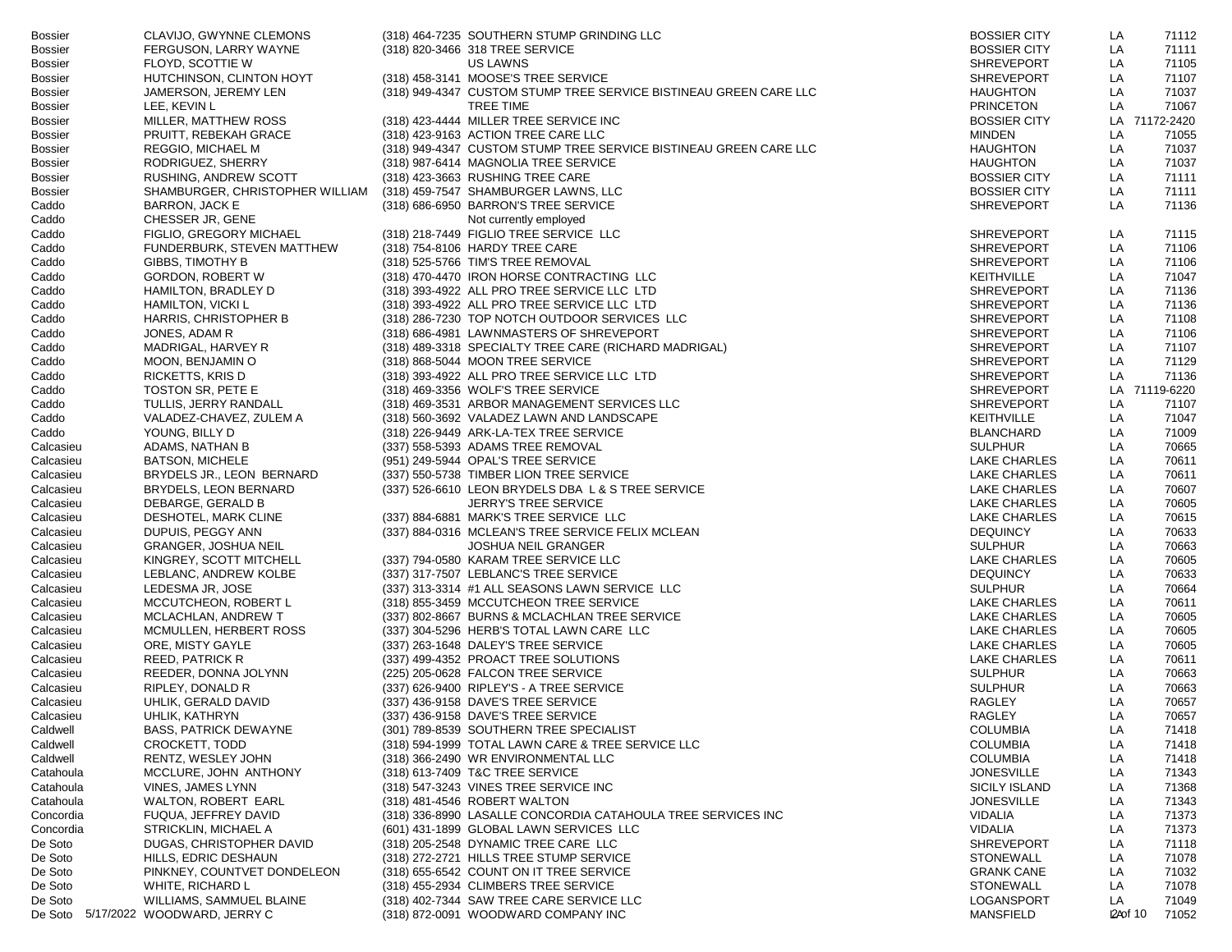| Bossier        | CLAVIJO, GWYNNE CLEMONS                          | (318) 464-7235 SOUTHERN STUMP GRINDING LLC                        | <b>BOSSIER CITY</b>  | LA | 71112              |
|----------------|--------------------------------------------------|-------------------------------------------------------------------|----------------------|----|--------------------|
| <b>Bossier</b> | FERGUSON, LARRY WAYNE                            | (318) 820-3466 318 TREE SERVICE                                   | <b>BOSSIER CITY</b>  | LA | 71111              |
| Bossier        | FLOYD, SCOTTIE W                                 | US LAWNS                                                          | <b>SHREVEPORT</b>    | LA | 71105              |
| <b>Bossier</b> | HUTCHINSON, CLINTON HOYT                         | (318) 458-3141 MOOSE'S TREE SERVICE                               | <b>SHREVEPORT</b>    | LA | 71107              |
| Bossier        | JAMERSON, JEREMY LEN                             | (318) 949-4347 CUSTOM STUMP TREE SERVICE BISTINEAU GREEN CARE LLC | <b>HAUGHTON</b>      | LA | 71037              |
| Bossier        | LEE, KEVIN L                                     | <b>TREE TIME</b>                                                  | <b>PRINCETON</b>     | LA | 71067              |
| Bossier        | MILLER, MATTHEW ROSS                             | (318) 423-4444 MILLER TREE SERVICE INC                            | <b>BOSSIER CITY</b>  | LA | 71172-2420         |
| Bossier        | PRUITT, REBEKAH GRACE                            | (318) 423-9163 ACTION TREE CARE LLC                               | <b>MINDEN</b>        | LA | 71055              |
| <b>Bossier</b> | REGGIO, MICHAEL M                                | (318) 949-4347 CUSTOM STUMP TREE SERVICE BISTINEAU GREEN CARE LLC | <b>HAUGHTON</b>      | LA | 71037              |
| Bossier        | RODRIGUEZ, SHERRY                                | (318) 987-6414 MAGNOLIA TREE SERVICE                              | <b>HAUGHTON</b>      | LA | 71037              |
| <b>Bossier</b> | RUSHING, ANDREW SCOTT                            | (318) 423-3663 RUSHING TREE CARE                                  | <b>BOSSIER CITY</b>  | LA | 71111              |
|                | SHAMBURGER, CHRISTOPHER WILLIAM                  |                                                                   | <b>BOSSIER CITY</b>  | LA | 71111              |
| <b>Bossier</b> |                                                  | (318) 459-7547 SHAMBURGER LAWNS, LLC                              |                      |    |                    |
| Caddo          | <b>BARRON, JACK E</b>                            | (318) 686-6950 BARRON'S TREE SERVICE                              | <b>SHREVEPORT</b>    | LA | 71136              |
| Caddo          | CHESSER JR, GENE                                 | Not currently employed                                            |                      |    |                    |
| Caddo          | FIGLIO, GREGORY MICHAEL                          | (318) 218-7449 FIGLIO TREE SERVICE LLC                            | <b>SHREVEPORT</b>    | LA | 71115              |
| Caddo          | FUNDERBURK, STEVEN MATTHEW                       | (318) 754-8106 HARDY TREE CARE                                    | <b>SHREVEPORT</b>    | LA | 71106              |
| Caddo          | GIBBS, TIMOTHY B                                 | (318) 525-5766 TIM'S TREE REMOVAL                                 | <b>SHREVEPORT</b>    | LA | 71106              |
| Caddo          | <b>GORDON, ROBERT W</b>                          | (318) 470-4470 IRON HORSE CONTRACTING LLC                         | <b>KEITHVILLE</b>    | LA | 71047              |
| Caddo          | HAMILTON, BRADLEY D                              | (318) 393-4922 ALL PRO TREE SERVICE LLC LTD                       | <b>SHREVEPORT</b>    | LA | 71136              |
| Caddo          | HAMILTON, VICKI L                                | (318) 393-4922 ALL PRO TREE SERVICE LLC LTD                       | <b>SHREVEPORT</b>    | LA | 71136              |
| Caddo          | HARRIS, CHRISTOPHER B                            | (318) 286-7230 TOP NOTCH OUTDOOR SERVICES LLC                     | <b>SHREVEPORT</b>    | LA | 71108              |
| Caddo          | JONES, ADAM R                                    | (318) 686-4981 LAWNMASTERS OF SHREVEPORT                          | <b>SHREVEPORT</b>    | LA | 71106              |
| Caddo          | MADRIGAL, HARVEY R                               | (318) 489-3318 SPECIALTY TREE CARE (RICHARD MADRIGAL)             | <b>SHREVEPORT</b>    | LA | 71107              |
| Caddo          | MOON, BENJAMIN O                                 | (318) 868-5044 MOON TREE SERVICE                                  | <b>SHREVEPORT</b>    | LA | 71129              |
| Caddo          | RICKETTS, KRIS D                                 | (318) 393-4922 ALL PRO TREE SERVICE LLC LTD                       | <b>SHREVEPORT</b>    | LA | 71136              |
| Caddo          | TOSTON SR, PETE E                                | (318) 469-3356 WOLF'S TREE SERVICE                                | <b>SHREVEPORT</b>    | LA | 71119-6220         |
| Caddo          | TULLIS, JERRY RANDALL                            | (318) 469-3531 ARBOR MANAGEMENT SERVICES LLC                      | <b>SHREVEPORT</b>    | LA | 71107              |
| Caddo          | VALADEZ-CHAVEZ, ZULEM A                          | (318) 560-3692 VALADEZ LAWN AND LANDSCAPE                         | <b>KEITHVILLE</b>    | LA | 71047              |
| Caddo          | YOUNG, BILLY D                                   | (318) 226-9449 ARK-LA-TEX TREE SERVICE                            | <b>BLANCHARD</b>     | LA | 71009              |
| Calcasieu      | ADAMS, NATHAN B                                  | (337) 558-5393 ADAMS TREE REMOVAL                                 | <b>SULPHUR</b>       | LA | 70665              |
| Calcasieu      | <b>BATSON, MICHELE</b>                           | (951) 249-5944 OPAL'S TREE SERVICE                                | LAKE CHARLES         | LA | 70611              |
| Calcasieu      | BRYDELS JR., LEON BERNARD                        | (337) 550-5738 TIMBER LION TREE SERVICE                           | LAKE CHARLES         | LA | 70611              |
| Calcasieu      | BRYDELS, LEON BERNARD                            | (337) 526-6610 LEON BRYDELS DBA L & S TREE SERVICE                | LAKE CHARLES         | LA | 70607              |
|                |                                                  |                                                                   | LAKE CHARLES         | LA | 70605              |
| Calcasieu      | DEBARGE, GERALD B                                | <b>JERRY'S TREE SERVICE</b>                                       |                      |    |                    |
| Calcasieu      | DESHOTEL, MARK CLINE                             | (337) 884-6881 MARK'S TREE SERVICE LLC                            | LAKE CHARLES         | LA | 70615              |
| Calcasieu      | DUPUIS, PEGGY ANN                                | (337) 884-0316 MCLEAN'S TREE SERVICE FELIX MCLEAN                 | <b>DEQUINCY</b>      | LA | 70633              |
| Calcasieu      | <b>GRANGER, JOSHUA NEIL</b>                      | <b>JOSHUA NEIL GRANGER</b>                                        | <b>SULPHUR</b>       | LA | 70663              |
| Calcasieu      | KINGREY, SCOTT MITCHELL                          | (337) 794-0580 KARAM TREE SERVICE LLC                             | LAKE CHARLES         | LA | 70605              |
| Calcasieu      | LEBLANC, ANDREW KOLBE                            | (337) 317-7507 LEBLANC'S TREE SERVICE                             | <b>DEQUINCY</b>      | LA | 70633              |
| Calcasieu      | LEDESMA JR, JOSE                                 | (337) 313-3314 #1 ALL SEASONS LAWN SERVICE LLC                    | <b>SULPHUR</b>       | LA | 70664              |
| Calcasieu      | MCCUTCHEON, ROBERT L                             | (318) 855-3459 MCCUTCHEON TREE SERVICE                            | LAKE CHARLES         | LA | 70611              |
| Calcasieu      | MCLACHLAN, ANDREW T                              | (337) 802-8667 BURNS & MCLACHLAN TREE SERVICE                     | LAKE CHARLES         | LA | 70605              |
| Calcasieu      | MCMULLEN, HERBERT ROSS                           | (337) 304-5296 HERB'S TOTAL LAWN CARE LLC                         | LAKE CHARLES         | LA | 70605              |
| Calcasieu      | ORE, MISTY GAYLE                                 | (337) 263-1648 DALEY'S TREE SERVICE                               | LAKE CHARLES         | LA | 70605              |
| Calcasieu      | REED, PATRICK R                                  | (337) 499-4352 PROACT TREE SOLUTIONS                              | LAKE CHARLES         | LA | 70611              |
| Calcasieu      | REEDER, DONNA JOLYNN                             | (225) 205-0628 FALCON TREE SERVICE                                | <b>SULPHUR</b>       | LA | 70663              |
| Calcasieu      | RIPLEY, DONALD R                                 | (337) 626-9400 RIPLEY'S - A TREE SERVICE                          | <b>SULPHUR</b>       | LA | 70663              |
| Calcasieu      | UHLIK, GERALD DAVID                              | (337) 436-9158 DAVE'S TREE SERVICE                                | RAGLEY               | LA | 70657              |
| Calcasieu      | UHLIK, KATHRYN                                   | (337) 436-9158 DAVE'S TREE SERVICE                                | RAGLEY               | LA | 70657              |
| Caldwell       | <b>BASS, PATRICK DEWAYNE</b>                     | (301) 789-8539 SOUTHERN TREE SPECIALIST                           | <b>COLUMBIA</b>      | LA | 71418              |
| Caldwell       | CROCKETT, TODD                                   | (318) 594-1999 TOTAL LAWN CARE & TREE SERVICE LLC                 | <b>COLUMBIA</b>      | LA | 71418              |
| Caldwell       | RENTZ, WESLEY JOHN                               | (318) 366-2490 WR ENVIRONMENTAL LLC                               | <b>COLUMBIA</b>      | LA | 71418              |
| Catahoula      | MCCLURE, JOHN ANTHONY                            | (318) 613-7409 T&C TREE SERVICE                                   | <b>JONESVILLE</b>    | LA | 71343              |
| Catahoula      | VINES, JAMES LYNN                                | (318) 547-3243 VINES TREE SERVICE INC                             | <b>SICILY ISLAND</b> | LA | 71368              |
| Catahoula      | <b>WALTON, ROBERT EARL</b>                       | (318) 481-4546 ROBERT WALTON                                      | <b>JONESVILLE</b>    | LA | 71343              |
| Concordia      | FUQUA, JEFFREY DAVID                             | (318) 336-8990 LASALLE CONCORDIA CATAHOULA TREE SERVICES INC      | <b>VIDALIA</b>       | LA | 71373              |
|                |                                                  | (601) 431-1899 GLOBAL LAWN SERVICES LLC                           | <b>VIDALIA</b>       | LA | 71373              |
| Concordia      | STRICKLIN, MICHAEL A<br>DUGAS, CHRISTOPHER DAVID |                                                                   | <b>SHREVEPORT</b>    |    |                    |
| De Soto        |                                                  | (318) 205-2548 DYNAMIC TREE CARE LLC                              |                      | LA | 71118              |
| De Soto        | HILLS, EDRIC DESHAUN                             | (318) 272-2721 HILLS TREE STUMP SERVICE                           | <b>STONEWALL</b>     | LA | 71078              |
| De Soto        | PINKNEY, COUNTVET DONDELEON                      | (318) 655-6542 COUNT ON IT TREE SERVICE                           | <b>GRANK CANE</b>    | LA | 71032              |
| De Soto        | WHITE, RICHARD L                                 | (318) 455-2934 CLIMBERS TREE SERVICE                              | <b>STONEWALL</b>     | LA | 71078              |
| De Soto        | WILLIAMS, SAMMUEL BLAINE                         | (318) 402-7344 SAW TREE CARE SERVICE LLC                          | LOGANSPORT           | LA | 71049              |
|                | De Soto 5/17/2022 WOODWARD, JERRY C              | (318) 872-0091 WOODWARD COMPANY INC                               | <b>MANSFIELD</b>     |    | I2A of 10<br>71052 |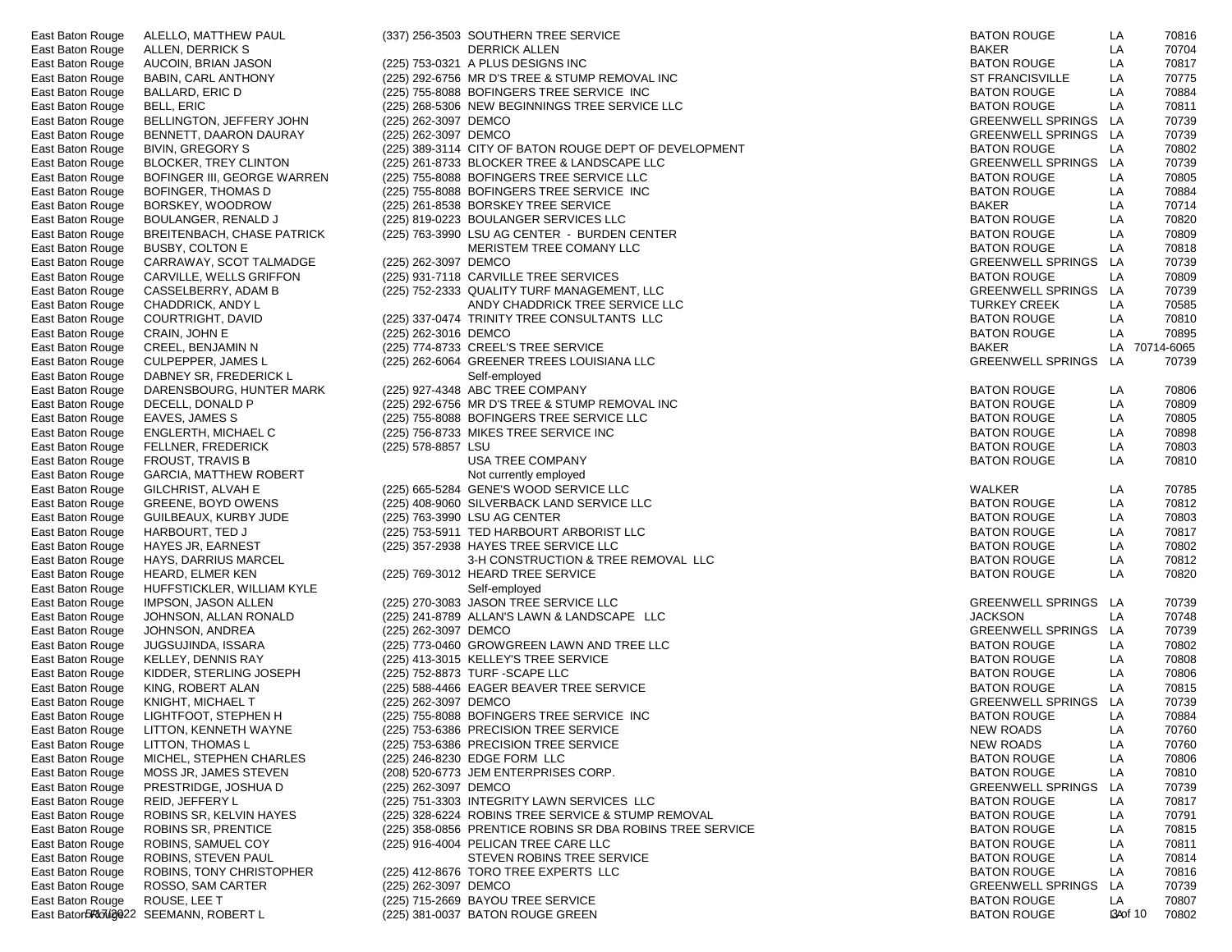| East Baton Rouge | ALELLO, MATTHEW PAUL                  |                      | (337) 256-3503 SOUTHERN TREE SERVICE<br><b>BATON ROUGE</b>                      | LA |                 | 70816      |
|------------------|---------------------------------------|----------------------|---------------------------------------------------------------------------------|----|-----------------|------------|
| East Baton Rouge | ALLEN, DERRICK S                      |                      | <b>DERRICK ALLEN</b><br><b>BAKER</b>                                            | LA |                 | 70704      |
| East Baton Rouge | AUCOIN, BRIAN JASON                   |                      | (225) 753-0321 A PLUS DESIGNS INC<br><b>BATON ROUGE</b>                         | LA |                 | 70817      |
| East Baton Rouge | BABIN, CARL ANTHONY                   |                      | (225) 292-6756 MR D'S TREE & STUMP REMOVAL INC<br><b>ST FRANCISVILLE</b>        | LA |                 | 70775      |
| East Baton Rouge | BALLARD, ERIC D                       |                      | (225) 755-8088 BOFINGERS TREE SERVICE INC<br><b>BATON ROUGE</b>                 | LA |                 | 70884      |
| East Baton Rouge | <b>BELL, ERIC</b>                     |                      | (225) 268-5306 NEW BEGINNINGS TREE SERVICE LLC<br><b>BATON ROUGE</b>            | LA |                 | 70811      |
| East Baton Rouge | BELLINGTON, JEFFERY JOHN              | (225) 262-3097 DEMCO | <b>GREENWELL SPRINGS</b>                                                        | LA |                 | 70739      |
| East Baton Rouge | BENNETT, DAARON DAURAY                | (225) 262-3097 DEMCO | GREENWELL SPRINGS LA                                                            |    |                 | 70739      |
|                  |                                       |                      | (225) 389-3114 CITY OF BATON ROUGE DEPT OF DEVELOPMENT<br><b>BATON ROUGE</b>    | LA |                 | 70802      |
| East Baton Rouge | <b>BIVIN, GREGORY S</b>               |                      |                                                                                 |    |                 |            |
| East Baton Rouge | <b>BLOCKER, TREY CLINTON</b>          |                      | (225) 261-8733 BLOCKER TREE & LANDSCAPE LLC<br><b>GREENWELL SPRINGS</b>         | LA |                 | 70739      |
| East Baton Rouge | BOFINGER III, GEORGE WARREN           |                      | (225) 755-8088 BOFINGERS TREE SERVICE LLC<br><b>BATON ROUGE</b>                 | LA |                 | 70805      |
| East Baton Rouge | BOFINGER, THOMAS D                    |                      | (225) 755-8088 BOFINGERS TREE SERVICE INC<br><b>BATON ROUGE</b>                 | LA |                 | 70884      |
| East Baton Rouge | BORSKEY, WOODROW                      |                      | <b>BAKER</b><br>(225) 261-8538 BORSKEY TREE SERVICE                             | LA |                 | 70714      |
| East Baton Rouge | BOULANGER, RENALD J                   |                      | (225) 819-0223 BOULANGER SERVICES LLC<br><b>BATON ROUGE</b>                     | LA |                 | 70820      |
| East Baton Rouge | BREITENBACH, CHASE PATRICK            |                      | (225) 763-3990 LSU AG CENTER - BURDEN CENTER<br><b>BATON ROUGE</b>              | LA |                 | 70809      |
| East Baton Rouge | BUSBY, COLTON E                       |                      | MERISTEM TREE COMANY LLC<br><b>BATON ROUGE</b>                                  | LA |                 | 70818      |
| East Baton Rouge | CARRAWAY, SCOT TALMADGE               | (225) 262-3097 DEMCO | <b>GREENWELL SPRINGS</b>                                                        | LA |                 | 70739      |
| East Baton Rouge | CARVILLE, WELLS GRIFFON               |                      | (225) 931-7118 CARVILLE TREE SERVICES<br><b>BATON ROUGE</b>                     | LA |                 | 70809      |
| East Baton Rouge | CASSELBERRY, ADAM B                   |                      | (225) 752-2333 QUALITY TURF MANAGEMENT, LLC<br><b>GREENWELL SPRINGS</b>         | LA |                 | 70739      |
| East Baton Rouge | CHADDRICK, ANDY L                     |                      | ANDY CHADDRICK TREE SERVICE LLC<br><b>TURKEY CREEK</b>                          | LA |                 | 70585      |
| East Baton Rouge | COURTRIGHT, DAVID                     |                      | (225) 337-0474 TRINITY TREE CONSULTANTS LLC<br><b>BATON ROUGE</b>               | LA |                 | 70810      |
| East Baton Rouge | CRAIN, JOHN E                         | (225) 262-3016 DEMCO | <b>BATON ROUGE</b>                                                              | LA |                 | 70895      |
|                  |                                       |                      | (225) 774-8733 CREEL'S TREE SERVICE<br><b>BAKER</b>                             | LA |                 |            |
| East Baton Rouge | CREEL, BENJAMIN N                     |                      |                                                                                 |    |                 | 70714-6065 |
| East Baton Rouge | <b>CULPEPPER, JAMES L</b>             |                      | (225) 262-6064 GREENER TREES LOUISIANA LLC<br><b>GREENWELL SPRINGS</b>          | LA |                 | 70739      |
| East Baton Rouge | DABNEY SR, FREDERICK L                |                      | Self-employed                                                                   |    |                 |            |
| East Baton Rouge | DARENSBOURG, HUNTER MARK              |                      | (225) 927-4348 ABC TREE COMPANY<br><b>BATON ROUGE</b>                           | LA |                 | 70806      |
| East Baton Rouge | DECELL, DONALD P                      |                      | (225) 292-6756 MR D'S TREE & STUMP REMOVAL INC<br><b>BATON ROUGE</b>            | LA |                 | 70809      |
| East Baton Rouge | EAVES, JAMES S                        |                      | (225) 755-8088 BOFINGERS TREE SERVICE LLC<br><b>BATON ROUGE</b>                 | LA |                 | 70805      |
| East Baton Rouge | ENGLERTH, MICHAEL C                   |                      | <b>BATON ROUGE</b><br>(225) 756-8733 MIKES TREE SERVICE INC                     | LA |                 | 70898      |
| East Baton Rouge | <b>FELLNER, FREDERICK</b>             | (225) 578-8857 LSU   | <b>BATON ROUGE</b>                                                              | LA |                 | 70803      |
| East Baton Rouge | FROUST, TRAVIS B                      |                      | <b>USA TREE COMPANY</b><br><b>BATON ROUGE</b>                                   | LA |                 | 70810      |
| East Baton Rouge | GARCIA, MATTHEW ROBERT                |                      | Not currently employed                                                          |    |                 |            |
| East Baton Rouge | GILCHRIST, ALVAH E                    |                      | (225) 665-5284 GENE'S WOOD SERVICE LLC<br>WALKER                                | LA |                 | 70785      |
| East Baton Rouge | GREENE, BOYD OWENS                    |                      | (225) 408-9060 SILVERBACK LAND SERVICE LLC<br><b>BATON ROUGE</b>                | LA |                 | 70812      |
| East Baton Rouge | GUILBEAUX, KURBY JUDE                 |                      | (225) 763-3990 LSU AG CENTER<br><b>BATON ROUGE</b>                              | LA |                 | 70803      |
|                  |                                       |                      |                                                                                 | LA |                 |            |
| East Baton Rouge | HARBOURT, TED J                       |                      | (225) 753-5911 TED HARBOURT ARBORIST LLC<br><b>BATON ROUGE</b>                  |    |                 | 70817      |
| East Baton Rouge | HAYES JR, EARNEST                     |                      | (225) 357-2938 HAYES TREE SERVICE LLC<br><b>BATON ROUGE</b>                     | LA |                 | 70802      |
| East Baton Rouge | HAYS, DARRIUS MARCEL                  |                      | 3-H CONSTRUCTION & TREE REMOVAL LLC<br><b>BATON ROUGE</b>                       | LA |                 | 70812      |
| East Baton Rouge | HEARD, ELMER KEN                      |                      | (225) 769-3012 HEARD TREE SERVICE<br><b>BATON ROUGE</b>                         | LA |                 | 70820      |
| East Baton Rouge | HUFFSTICKLER, WILLIAM KYLE            |                      | Self-employed                                                                   |    |                 |            |
| East Baton Rouge | IMPSON, JASON ALLEN                   |                      | (225) 270-3083 JASON TREE SERVICE LLC<br><b>GREENWELL SPRINGS</b>               | LA |                 | 70739      |
| East Baton Rouge | JOHNSON, ALLAN RONALD                 |                      | (225) 241-8789 ALLAN'S LAWN & LANDSCAPE LLC<br><b>JACKSON</b>                   | LA |                 | 70748      |
| East Baton Rouge | JOHNSON, ANDREA                       | (225) 262-3097 DEMCO | <b>GREENWELL SPRINGS</b>                                                        | LA |                 | 70739      |
| East Baton Rouge | JUGSUJINDA, ISSARA                    |                      | (225) 773-0460 GROWGREEN LAWN AND TREE LLC<br><b>BATON ROUGE</b>                | LA |                 | 70802      |
| East Baton Rouge | <b>KELLEY, DENNIS RAY</b>             |                      | (225) 413-3015 KELLEY'S TREE SERVICE<br><b>BATON ROUGE</b>                      | LA |                 | 70808      |
| East Baton Rouge | KIDDER, STERLING JOSEPH               |                      | (225) 752-8873 TURF - SCAPE LLC<br><b>BATON ROUGE</b>                           | LA |                 | 70806      |
| East Baton Rouge | KING, ROBERT ALAN                     |                      | (225) 588-4466 EAGER BEAVER TREE SERVICE<br><b>BATON ROUGE</b>                  | LA |                 | 70815      |
| East Baton Rouge | KNIGHT, MICHAEL T                     | (225) 262-3097 DEMCO | <b>GREENWELL SPRINGS</b>                                                        | LA |                 | 70739      |
| East Baton Rouge | LIGHTFOOT, STEPHEN H                  |                      | (225) 755-8088 BOFINGERS TREE SERVICE INC<br><b>BATON ROUGE</b>                 | LA |                 | 70884      |
| East Baton Rouge | LITTON, KENNETH WAYNE                 |                      | <b>NEW ROADS</b><br>(225) 753-6386 PRECISION TREE SERVICE                       | LA |                 | 70760      |
|                  |                                       |                      |                                                                                 |    |                 |            |
| East Baton Rouge | LITTON, THOMAS L                      |                      | (225) 753-6386 PRECISION TREE SERVICE<br>NEW ROADS                              | LA |                 | 70760      |
| East Baton Rouge | MICHEL, STEPHEN CHARLES               |                      | (225) 246-8230 EDGE FORM LLC<br><b>BATON ROUGE</b>                              | LA |                 | 70806      |
| East Baton Rouge | MOSS JR, JAMES STEVEN                 |                      | (208) 520-6773 JEM ENTERPRISES CORP.<br><b>BATON ROUGE</b>                      | LA |                 | 70810      |
| East Baton Rouge | PRESTRIDGE, JOSHUA D                  | (225) 262-3097 DEMCO | <b>GREENWELL SPRINGS</b>                                                        | LA |                 | 70739      |
| East Baton Rouge | REID, JEFFERY L                       |                      | (225) 751-3303 INTEGRITY LAWN SERVICES LLC<br><b>BATON ROUGE</b>                | LA |                 | 70817      |
| East Baton Rouge | ROBINS SR, KELVIN HAYES               |                      | (225) 328-6224 ROBINS TREE SERVICE & STUMP REMOVAL<br><b>BATON ROUGE</b>        | LA |                 | 70791      |
| East Baton Rouge | <b>ROBINS SR, PRENTICE</b>            |                      | (225) 358-0856 PRENTICE ROBINS SR DBA ROBINS TREE SERVICE<br><b>BATON ROUGE</b> | LA |                 | 70815      |
| East Baton Rouge | ROBINS, SAMUEL COY                    |                      | (225) 916-4004 PELICAN TREE CARE LLC<br><b>BATON ROUGE</b>                      | LA |                 | 70811      |
| East Baton Rouge | ROBINS, STEVEN PAUL                   |                      | STEVEN ROBINS TREE SERVICE<br><b>BATON ROUGE</b>                                | LA |                 | 70814      |
| East Baton Rouge | ROBINS, TONY CHRISTOPHER              |                      | (225) 412-8676 TORO TREE EXPERTS LLC<br><b>BATON ROUGE</b>                      | LA |                 | 70816      |
| East Baton Rouge | ROSSO, SAM CARTER                     | (225) 262-3097 DEMCO | <b>GREENWELL SPRINGS</b>                                                        | LA |                 | 70739      |
| East Baton Rouge | ROUSE, LEE T                          |                      | (225) 715-2669 BAYOU TREE SERVICE<br><b>BATON ROUGE</b>                         | LA |                 | 70807      |
|                  | East Bator5Rlouge22 SEEMANN, ROBERT L |                      | <b>BATON ROUGE</b><br>(225) 381-0037 BATON ROUGE GREEN                          |    | <b>BA</b> of 10 | 70802      |
|                  |                                       |                      |                                                                                 |    |                 |            |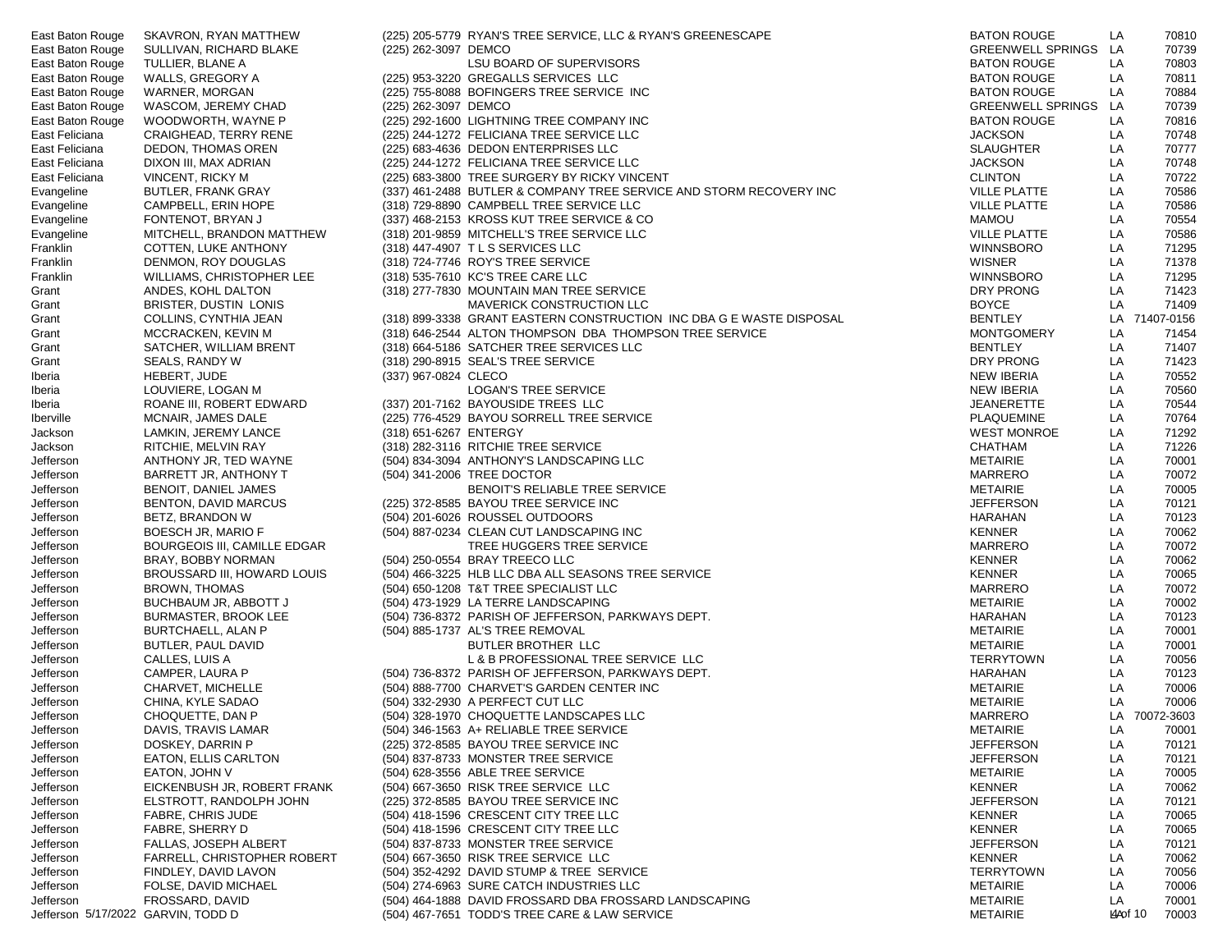| East Baton Rouge | SKAVRON, RYAN MATTHEW              |                        | (225) 205-5779 RYAN'S TREE SERVICE, LLC & RYAN'S GREENESCAPE<br><b>BATON ROUGE</b>         | LA        | 70810         |
|------------------|------------------------------------|------------------------|--------------------------------------------------------------------------------------------|-----------|---------------|
| East Baton Rouge | SULLIVAN, RICHARD BLAKE            | (225) 262-3097 DEMCO   | GREENWELL SPRINGS LA                                                                       |           | 70739         |
| East Baton Rouge | TULLIER, BLANE A                   |                        | LSU BOARD OF SUPERVISORS<br><b>BATON ROUGE</b>                                             | LA        | 70803         |
| East Baton Rouge | WALLS, GREGORY A                   |                        | (225) 953-3220 GREGALLS SERVICES LLC<br><b>BATON ROUGE</b>                                 | LA        | 70811         |
| East Baton Rouge | WARNER, MORGAN                     |                        | (225) 755-8088 BOFINGERS TREE SERVICE INC<br><b>BATON ROUGE</b>                            | LA        | 70884         |
| East Baton Rouge | WASCOM, JEREMY CHAD                | (225) 262-3097 DEMCO   | <b>GREENWELL SPRINGS</b>                                                                   | LA        | 70739         |
| East Baton Rouge | WOODWORTH, WAYNE P                 |                        | (225) 292-1600 LIGHTNING TREE COMPANY INC<br><b>BATON ROUGE</b>                            | LA        | 70816         |
| East Feliciana   | CRAIGHEAD, TERRY RENE              |                        | (225) 244-1272 FELICIANA TREE SERVICE LLC<br><b>JACKSON</b>                                | LA        | 70748         |
| East Feliciana   | DEDON, THOMAS OREN                 |                        | (225) 683-4636 DEDON ENTERPRISES LLC<br><b>SLAUGHTER</b>                                   | LA        | 70777         |
| East Feliciana   | DIXON III, MAX ADRIAN              |                        | (225) 244-1272 FELICIANA TREE SERVICE LLC<br><b>JACKSON</b>                                | LA        | 70748         |
| East Feliciana   | VINCENT, RICKY M                   |                        | (225) 683-3800 TREE SURGERY BY RICKY VINCENT<br><b>CLINTON</b>                             | LA        | 70722         |
|                  |                                    |                        |                                                                                            |           |               |
| Evangeline       | <b>BUTLER, FRANK GRAY</b>          |                        | (337) 461-2488 BUTLER & COMPANY TREE SERVICE AND STORM RECOVERY INC<br><b>VILLE PLATTE</b> | LA        | 70586         |
| Evangeline       | CAMPBELL, ERIN HOPE                |                        | (318) 729-8890 CAMPBELL TREE SERVICE LLC<br><b>VILLE PLATTE</b>                            | LA        | 70586         |
| Evangeline       | FONTENOT, BRYAN J                  |                        | <b>MAMOU</b><br>(337) 468-2153 KROSS KUT TREE SERVICE & CO                                 | LA        | 70554         |
| Evangeline       | MITCHELL, BRANDON MATTHEW          |                        | <b>VILLE PLATTE</b><br>(318) 201-9859 MITCHELL'S TREE SERVICE LLC                          | LA        | 70586         |
| Franklin         | COTTEN, LUKE ANTHONY               |                        | WINNSBORO<br>(318) 447-4907 T L S SERVICES LLC                                             | LA        | 71295         |
| Franklin         | DENMON, ROY DOUGLAS                |                        | <b>WISNER</b><br>(318) 724-7746 ROY'S TREE SERVICE                                         | LA        | 71378         |
| Franklin         | WILLIAMS, CHRISTOPHER LEE          |                        | (318) 535-7610 KC'S TREE CARE LLC<br>WINNSBORO                                             | LA        | 71295         |
| Grant            | ANDES, KOHL DALTON                 |                        | (318) 277-7830 MOUNTAIN MAN TREE SERVICE<br>DRY PRONG                                      | LA        | 71423         |
| Grant            | BRISTER, DUSTIN LONIS              |                        | MAVERICK CONSTRUCTION LLC<br><b>BOYCE</b>                                                  | LA        | 71409         |
| Grant            | COLLINS, CYNTHIA JEAN              |                        | (318) 899-3338 GRANT EASTERN CONSTRUCTION INC DBA G E WASTE DISPOSAL<br><b>BENTLEY</b>     |           | LA 71407-0156 |
| Grant            | MCCRACKEN, KEVIN M                 |                        | (318) 646-2544 ALTON THOMPSON DBA THOMPSON TREE SERVICE<br><b>MONTGOMERY</b>               | LA        | 71454         |
| Grant            | SATCHER, WILLIAM BRENT             |                        | (318) 664-5186 SATCHER TREE SERVICES LLC<br><b>BENTLEY</b>                                 | LA        | 71407         |
| Grant            | SEALS, RANDY W                     |                        | (318) 290-8915 SEAL'S TREE SERVICE<br>DRY PRONG                                            | LA        | 71423         |
| lberia           | HEBERT, JUDE                       | (337) 967-0824 CLECO   | <b>NEW IBERIA</b>                                                                          | LA        | 70552         |
| lberia           | LOUVIERE, LOGAN M                  |                        | <b>NEW IBERIA</b><br>LOGAN'S TREE SERVICE                                                  | LA        | 70560         |
| lberia           | ROANE III, ROBERT EDWARD           |                        | (337) 201-7162 BAYOUSIDE TREES LLC<br>JEANERETTE                                           | LA        | 70544         |
| Iberville        | MCNAIR, JAMES DALE                 |                        | (225) 776-4529 BAYOU SORRELL TREE SERVICE<br>PLAQUEMINE                                    | LA        | 70764         |
| Jackson          | LAMKIN, JEREMY LANCE               | (318) 651-6267 ENTERGY | <b>WEST MONROE</b>                                                                         | LA        | 71292         |
| Jackson          | RITCHIE, MELVIN RAY                |                        | (318) 282-3116 RITCHIE TREE SERVICE<br>CHATHAM                                             | LA        | 71226         |
|                  |                                    |                        | (504) 834-3094 ANTHONY'S LANDSCAPING LLC<br><b>METAIRIE</b>                                | LA        | 70001         |
| Jefferson        | ANTHONY JR, TED WAYNE              |                        |                                                                                            |           |               |
| Jefferson        | BARRETT JR, ANTHONY T              |                        | (504) 341-2006 TREE DOCTOR<br><b>MARRERO</b>                                               | LA        | 70072         |
| Jefferson        | BENOIT, DANIEL JAMES               |                        | BENOIT'S RELIABLE TREE SERVICE<br><b>METAIRIE</b>                                          | LA        | 70005         |
| Jefferson        | BENTON, DAVID MARCUS               |                        | (225) 372-8585 BAYOU TREE SERVICE INC<br><b>JEFFERSON</b>                                  | LA        | 70121         |
| Jefferson        | BETZ, BRANDON W                    |                        | (504) 201-6026 ROUSSEL OUTDOORS<br><b>HARAHAN</b>                                          | LA        | 70123         |
| Jefferson        | BOESCH JR, MARIO F                 |                        | (504) 887-0234 CLEAN CUT LANDSCAPING INC<br><b>KENNER</b>                                  | LA        | 70062         |
| Jefferson        | BOURGEOIS III, CAMILLE EDGAR       |                        | TREE HUGGERS TREE SERVICE<br>MARRERO                                                       | LA        | 70072         |
| Jefferson        | BRAY, BOBBY NORMAN                 |                        | (504) 250-0554 BRAY TREECO LLC<br><b>KENNER</b>                                            | LA        | 70062         |
| Jefferson        | BROUSSARD III, HOWARD LOUIS        |                        | (504) 466-3225 HLB LLC DBA ALL SEASONS TREE SERVICE<br><b>KENNER</b>                       | LA        | 70065         |
| Jefferson        | BROWN, THOMAS                      |                        | (504) 650-1208 T&T TREE SPECIALIST LLC<br><b>MARRERO</b>                                   | LA        | 70072         |
| Jefferson        | BUCHBAUM JR, ABBOTT J              |                        | <b>METAIRIE</b><br>(504) 473-1929 LA TERRE LANDSCAPING                                     | LA        | 70002         |
| Jefferson        | BURMASTER, BROOK LEE               |                        | <b>HARAHAN</b><br>(504) 736-8372 PARISH OF JEFFERSON, PARKWAYS DEPT.                       | LA        | 70123         |
| Jefferson        | <b>BURTCHAELL, ALAN P</b>          |                        | <b>METAIRIE</b><br>(504) 885-1737 AL'S TREE REMOVAL                                        | LA        | 70001         |
| Jefferson        | BUTLER, PAUL DAVID                 |                        | <b>METAIRIE</b><br>BUTLER BROTHER LLC                                                      | LA        | 70001         |
| Jefferson        | CALLES, LUIS A                     |                        | TERRYTOWN<br>L & B PROFESSIONAL TREE SERVICE LLC                                           | LA        | 70056         |
| Jefferson        | CAMPER, LAURA P                    |                        | (504) 736-8372 PARISH OF JEFFERSON, PARKWAYS DEPT.<br>HARAHAN                              | LA        | 70123         |
| Jefferson        | CHARVET, MICHELLE                  |                        | <b>METAIRIE</b><br>(504) 888-7700 CHARVET'S GARDEN CENTER INC                              | LA        | 70006         |
| Jefferson        | CHINA, KYLE SADAO                  |                        | METAIRIE<br>(504) 332-2930 A PERFECT CUT LLC                                               | LA        | 70006         |
| Jefferson        | CHOQUETTE, DAN P                   |                        | <b>MARRERO</b><br>(504) 328-1970 CHOQUETTE LANDSCAPES LLC                                  |           | LA 70072-3603 |
| Jefferson        | DAVIS, TRAVIS LAMAR                |                        | (504) 346-1563 A+ RELIABLE TREE SERVICE<br><b>METAIRIE</b>                                 | LA        | 70001         |
| Jefferson        | DOSKEY, DARRIN P                   |                        | <b>JEFFERSON</b><br>(225) 372-8585 BAYOU TREE SERVICE INC                                  | LA        | 70121         |
| Jefferson        | EATON, ELLIS CARLTON               |                        | (504) 837-8733 MONSTER TREE SERVICE<br><b>JEFFERSON</b>                                    | LA        | 70121         |
| Jefferson        | EATON, JOHN V                      |                        | <b>METAIRIE</b><br>(504) 628-3556 ABLE TREE SERVICE                                        | LA        | 70005         |
|                  | EICKENBUSH JR, ROBERT FRANK        |                        |                                                                                            | LA        |               |
| Jefferson        |                                    |                        | (504) 667-3650 RISK TREE SERVICE LLC<br><b>KENNER</b>                                      |           | 70062         |
| Jefferson        | ELSTROTT, RANDOLPH JOHN            |                        | (225) 372-8585 BAYOU TREE SERVICE INC<br><b>JEFFERSON</b>                                  | LA        | 70121         |
| Jefferson        | FABRE, CHRIS JUDE                  |                        | (504) 418-1596 CRESCENT CITY TREE LLC<br><b>KENNER</b>                                     | LA        | 70065         |
| Jefferson        | FABRE, SHERRY D                    |                        | (504) 418-1596 CRESCENT CITY TREE LLC<br><b>KENNER</b>                                     | LA        | 70065         |
| Jefferson        | FALLAS, JOSEPH ALBERT              |                        | (504) 837-8733 MONSTER TREE SERVICE<br><b>JEFFERSON</b>                                    | LA        | 70121         |
| Jefferson        | FARRELL, CHRISTOPHER ROBERT        |                        | (504) 667-3650 RISK TREE SERVICE LLC<br><b>KENNER</b>                                      | LA        | 70062         |
| Jefferson        | FINDLEY, DAVID LAVON               |                        | (504) 352-4292 DAVID STUMP & TREE SERVICE<br><b>TERRYTOWN</b>                              | LA        | 70056         |
| Jefferson        | FOLSE, DAVID MICHAEL               |                        | (504) 274-6963 SURE CATCH INDUSTRIES LLC<br><b>METAIRIE</b>                                | LA        | 70006         |
| Jefferson        | FROSSARD, DAVID                    |                        | (504) 464-1888 DAVID FROSSARD DBA FROSSARD LANDSCAPING<br><b>METAIRIE</b>                  | LA        | 70001         |
|                  | Jefferson 5/17/2022 GARVIN, TODD D |                        | <b>METAIRIE</b><br>(504) 467-7651 TODD'S TREE CARE & LAW SERVICE                           | KLAO f 10 | 70003         |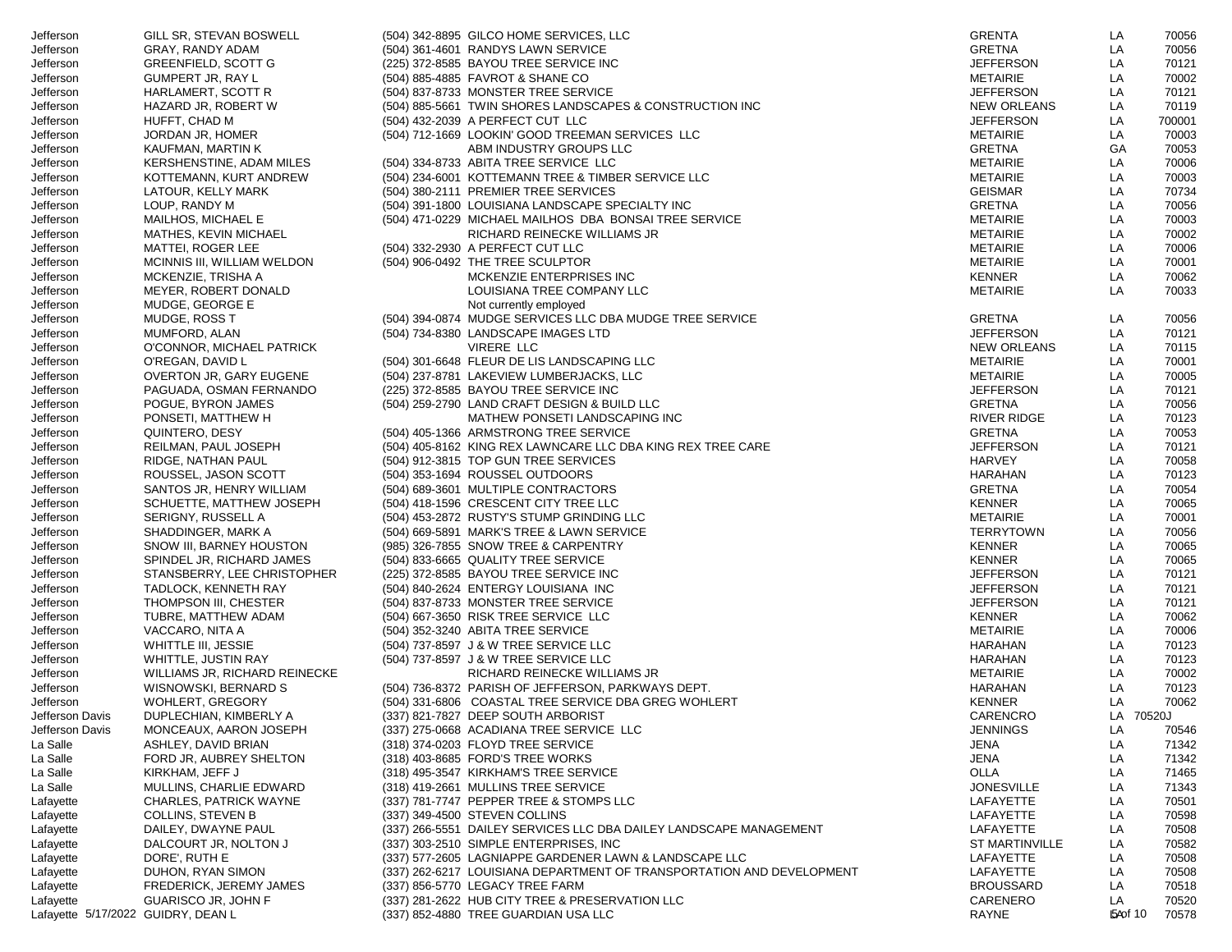| Jefferson                          | GILL SR, STEVAN BOSWELL        | (504) 342-8895 GILCO HOME SERVICES, LLC                                        | <b>GRENTA</b>         | LA             | 70056  |
|------------------------------------|--------------------------------|--------------------------------------------------------------------------------|-----------------------|----------------|--------|
| Jefferson                          | GRAY, RANDY ADAM               | (504) 361-4601 RANDYS LAWN SERVICE                                             | <b>GRETNA</b>         | LA             | 70056  |
| Jefferson                          | GREENFIELD, SCOTT G            | (225) 372-8585 BAYOU TREE SERVICE INC                                          | <b>JEFFERSON</b>      | LA             | 70121  |
| Jefferson                          | <b>GUMPERT JR, RAY L</b>       | (504) 885-4885 FAVROT & SHANE CO                                               | METAIRIE              | LA             | 70002  |
| Jefferson                          | HARLAMERT, SCOTT R             | (504) 837-8733 MONSTER TREE SERVICE                                            | <b>JEFFERSON</b>      | LA             | 70121  |
| Jefferson                          | HAZARD JR, ROBERT W            | (504) 885-5661 TWIN SHORES LANDSCAPES & CONSTRUCTION INC                       | NEW ORLEANS           | LA             | 70119  |
| Jefferson                          | HUFFT, CHAD M                  | (504) 432-2039 A PERFECT CUT LLC                                               | <b>JEFFERSON</b>      | LA             | 700001 |
| Jefferson                          | JORDAN JR, HOMER               | (504) 712-1669 LOOKIN' GOOD TREEMAN SERVICES LLC                               | <b>METAIRIE</b>       | LA             | 70003  |
| Jefferson                          | KAUFMAN, MARTIN K              | ABM INDUSTRY GROUPS LLC                                                        | <b>GRETNA</b>         | GA             | 70053  |
| Jefferson                          | KERSHENSTINE, ADAM MILES       | (504) 334-8733 ABITA TREE SERVICE LLC                                          | METAIRIE              | LA             | 70006  |
| Jefferson                          | KOTTEMANN, KURT ANDREW         | (504) 234-6001 KOTTEMANN TREE & TIMBER SERVICE LLC                             | METAIRIE              | LA             | 70003  |
| Jefferson                          | LATOUR, KELLY MARK             | (504) 380-2111 PREMIER TREE SERVICES                                           | <b>GEISMAR</b>        | LA             | 70734  |
| Jefferson                          | LOUP, RANDY M                  | (504) 391-1800 LOUISIANA LANDSCAPE SPECIALTY INC                               | GRETNA                | LA             | 70056  |
| Jefferson                          | MAILHOS, MICHAEL E             | (504) 471-0229 MICHAEL MAILHOS DBA BONSAI TREE SERVICE                         | <b>METAIRIE</b>       | LA             | 70003  |
| Jefferson                          | <b>MATHES, KEVIN MICHAEL</b>   | RICHARD REINECKE WILLIAMS JR                                                   | METAIRIE              | LA             | 70002  |
| Jefferson                          | MATTEI, ROGER LEE              | (504) 332-2930 A PERFECT CUT LLC                                               | METAIRIE              | LA             | 70006  |
| Jefferson                          | MCINNIS III, WILLIAM WELDON    | (504) 906-0492 THE TREE SCULPTOR                                               | METAIRIE              | LA             | 70001  |
| Jefferson                          | MCKENZIE, TRISHA A             | MCKENZIE ENTERPRISES INC                                                       | KENNER                | LA             | 70062  |
| Jefferson                          | MEYER, ROBERT DONALD           | LOUISIANA TREE COMPANY LLC                                                     | <b>METAIRIE</b>       | LA             | 70033  |
| Jefferson                          | MUDGE, GEORGE E                | Not currently employed                                                         |                       |                |        |
| Jefferson                          | MUDGE, ROSS T                  | (504) 394-0874 MUDGE SERVICES LLC DBA MUDGE TREE SERVICE                       | <b>GRETNA</b>         | LA             | 70056  |
| Jefferson                          | MUMFORD, ALAN                  | (504) 734-8380 LANDSCAPE IMAGES LTD                                            | <b>JEFFERSON</b>      | LA             | 70121  |
| Jefferson                          | O'CONNOR, MICHAEL PATRICK      | VIRERE LLC                                                                     | NEW ORLEANS           | LA             | 70115  |
| Jefferson                          | O'REGAN, DAVID L               | (504) 301-6648 FLEUR DE LIS LANDSCAPING LLC                                    | <b>METAIRIE</b>       | LA             | 70001  |
| Jefferson                          | OVERTON JR, GARY EUGENE        | (504) 237-8781 LAKEVIEW LUMBERJACKS, LLC                                       | <b>METAIRIE</b>       | LA             | 70005  |
| Jefferson                          | PAGUADA, OSMAN FERNANDO        | (225) 372-8585 BAYOU TREE SERVICE INC                                          | <b>JEFFERSON</b>      | LA             | 70121  |
| Jefferson                          | POGUE, BYRON JAMES             | (504) 259-2790 LAND CRAFT DESIGN & BUILD LLC                                   | <b>GRETNA</b>         | LA             | 70056  |
| Jefferson                          | PONSETI, MATTHEW H             | MATHEW PONSETI LANDSCAPING INC                                                 | <b>RIVER RIDGE</b>    | LA             | 70123  |
| Jefferson                          | QUINTERO, DESY                 | (504) 405-1366 ARMSTRONG TREE SERVICE                                          | <b>GRETNA</b>         | LA             | 70053  |
| Jefferson                          | REILMAN, PAUL JOSEPH           | (504) 405-8162 KING REX LAWNCARE LLC DBA KING REX TREE CARE                    | <b>JEFFERSON</b>      | LA             | 70121  |
| Jefferson                          | RIDGE, NATHAN PAUL             | (504) 912-3815 TOP GUN TREE SERVICES                                           | HARVEY                | LA             | 70058  |
| Jefferson                          | ROUSSEL, JASON SCOTT           | (504) 353-1694 ROUSSEL OUTDOORS                                                | HARAHAN               | LA             | 70123  |
| Jefferson                          | SANTOS JR, HENRY WILLIAM       | (504) 689-3601 MULTIPLE CONTRACTORS                                            | GRETNA                | LA             | 70054  |
| Jefferson                          | SCHUETTE, MATTHEW JOSEPH       | (504) 418-1596 CRESCENT CITY TREE LLC                                          | <b>KENNER</b>         | LA             | 70065  |
| Jefferson                          | SERIGNY, RUSSELL A             | (504) 453-2872 RUSTY'S STUMP GRINDING LLC                                      | METAIRIE              | LA             | 70001  |
| Jefferson                          | SHADDINGER, MARK A             | (504) 669-5891 MARK'S TREE & LAWN SERVICE                                      | TERRYTOWN             | LA             | 70056  |
| Jefferson                          | SNOW III, BARNEY HOUSTON       | (985) 326-7855 SNOW TREE & CARPENTRY                                           | <b>KENNER</b>         | LA             | 70065  |
| Jefferson                          | SPINDEL JR, RICHARD JAMES      | (504) 833-6665 QUALITY TREE SERVICE                                            | <b>KENNER</b>         | LA             | 70065  |
| Jefferson                          | STANSBERRY, LEE CHRISTOPHER    | (225) 372-8585 BAYOU TREE SERVICE INC                                          | <b>JEFFERSON</b>      | LA             | 70121  |
|                                    |                                | (504) 840-2624 ENTERGY LOUISIANA INC                                           | <b>JEFFERSON</b>      | LA             | 70121  |
| Jefferson                          | TADLOCK, KENNETH RAY           | (504) 837-8733 MONSTER TREE SERVICE                                            | <b>JEFFERSON</b>      | LA             | 70121  |
| Jefferson                          | THOMPSON III, CHESTER          | (504) 667-3650 RISK TREE SERVICE LLC                                           | KENNER                | LA.            | 70062  |
| Jefferson                          | TUBRE, MATTHEW ADAM            |                                                                                |                       |                |        |
| Jefferson                          | VACCARO, NITA A                | (504) 352-3240 ABITA TREE SERVICE                                              | METAIRIE              | LA             | 70006  |
| Jefferson                          | WHITTLE III, JESSIE            | (504) 737-8597 J & W TREE SERVICE LLC<br>(504) 737-8597 J & W TREE SERVICE LLC | HARAHAN               | LA             | 70123  |
| Jefferson                          | WHITTLE, JUSTIN RAY            |                                                                                | HARAHAN               | LA             | 70123  |
| Jefferson                          | WILLIAMS JR, RICHARD REINECKE  | RICHARD REINECKE WILLIAMS JR                                                   | METAIRIE              | LA             | 70002  |
| Jefferson                          | WISNOWSKI, BERNARD S           | (504) 736-8372 PARISH OF JEFFERSON, PARKWAYS DEPT.                             | HARAHAN               | LA             | 70123  |
| Jefferson                          | WOHLERT, GREGORY               | (504) 331-6806 COASTAL TREE SERVICE DBA GREG WOHLERT                           | KENNER                | LA             | 70062  |
| Jefferson Davis                    | DUPLECHIAN, KIMBERLY A         | (337) 821-7827 DEEP SOUTH ARBORIST                                             | CARENCRO              | LA 70520J      |        |
| Jefferson Davis                    | MONCEAUX, AARON JOSEPH         | (337) 275-0668 ACADIANA TREE SERVICE LLC                                       | <b>JENNINGS</b>       | LA             | 70546  |
| La Salle                           | ASHLEY, DAVID BRIAN            | (318) 374-0203 FLOYD TREE SERVICE                                              | JENA                  | LA             | 71342  |
| La Salle                           | FORD JR, AUBREY SHELTON        | (318) 403-8685 FORD'S TREE WORKS                                               | JENA                  | LA             | 71342  |
| La Salle                           | KIRKHAM, JEFF J                | (318) 495-3547 KIRKHAM'S TREE SERVICE                                          | OLLA                  | LA             | 71465  |
| La Salle                           | MULLINS, CHARLIE EDWARD        | (318) 419-2661 MULLINS TREE SERVICE                                            | <b>JONESVILLE</b>     | LA             | 71343  |
| Lafayette                          | <b>CHARLES, PATRICK WAYNE</b>  | (337) 781-7747 PEPPER TREE & STOMPS LLC                                        | LAFAYETTE             | LA             | 70501  |
| Lafayette                          | <b>COLLINS, STEVEN B</b>       | (337) 349-4500 STEVEN COLLINS                                                  | LAFAYETTE             | LA             | 70598  |
| Lafayette                          | DAILEY, DWAYNE PAUL            | (337) 266-5551 DAILEY SERVICES LLC DBA DAILEY LANDSCAPE MANAGEMENT             | LAFAYETTE             | LA             | 70508  |
| Lafayette                          | DALCOURT JR, NOLTON J          | (337) 303-2510 SIMPLE ENTERPRISES, INC                                         | <b>ST MARTINVILLE</b> | LA             | 70582  |
| Lafayette                          | DORE', RUTH E                  | (337) 577-2605 LAGNIAPPE GARDENER LAWN & LANDSCAPE LLC                         | LAFAYETTE             | LA             | 70508  |
| Lafayette                          | DUHON, RYAN SIMON              | (337) 262-6217 LOUISIANA DEPARTMENT OF TRANSPORTATION AND DEVELOPMENT          | LAFAYETTE             | LA             | 70508  |
| Lafayette                          | <b>FREDERICK, JEREMY JAMES</b> | (337) 856-5770 LEGACY TREE FARM                                                | BROUSSARD             | LA             | 70518  |
| Lafayette                          | GUARISCO JR, JOHN F            | (337) 281-2622 HUB CITY TREE & PRESERVATION LLC                                | CARENERO              | LA             | 70520  |
| Lafayette 5/17/2022 GUIDRY, DEAN L |                                | (337) 852-4880 TREE GUARDIAN USA LLC                                           | RAYNE                 | <b>54of 10</b> | 70578  |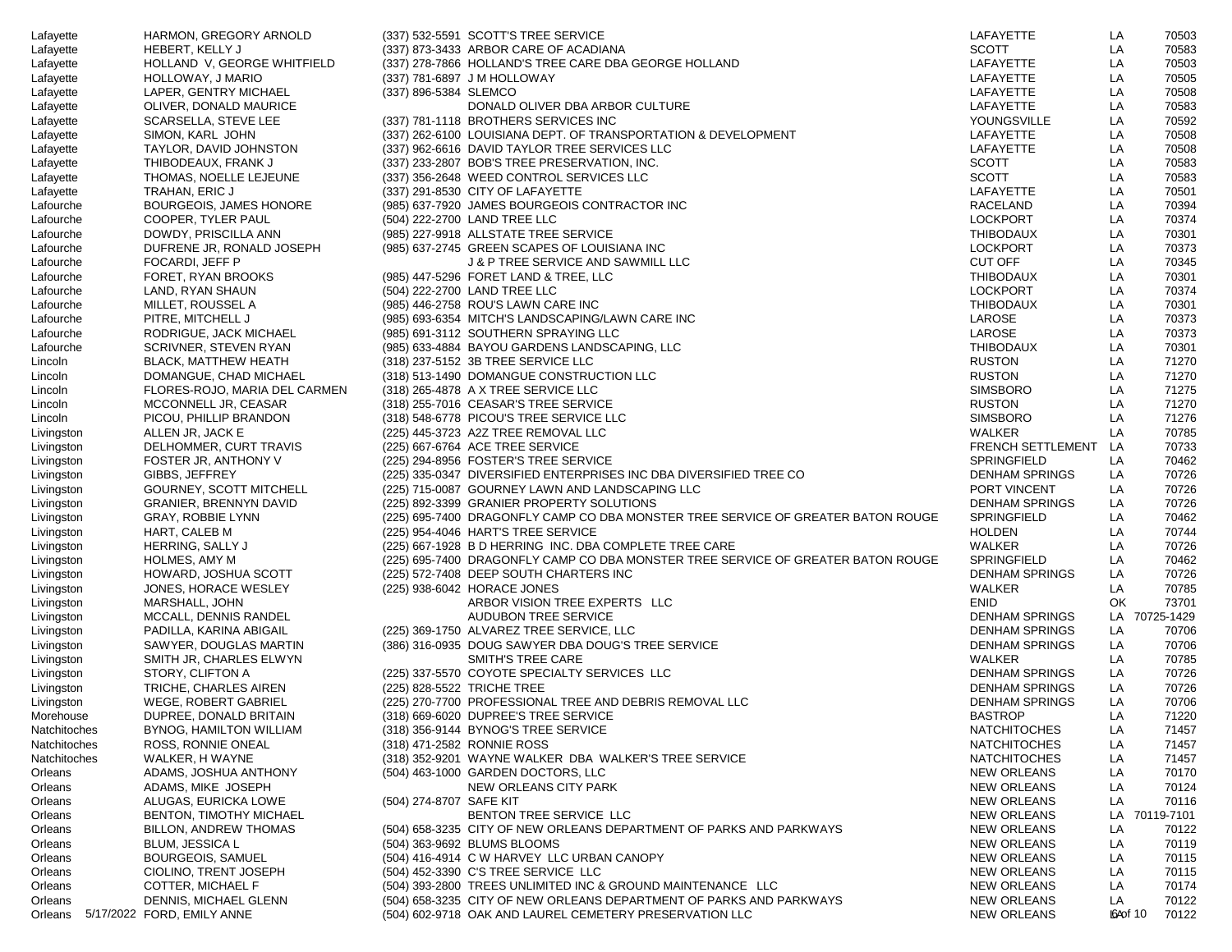| Lafayette    | HARMON, GREGORY ARNOLD                    |                         | (337) 532-5591 SCOTT'S TREE SERVICE                                              | LAFAYETTE                | LA               | 70503         |
|--------------|-------------------------------------------|-------------------------|----------------------------------------------------------------------------------|--------------------------|------------------|---------------|
| Lafayette    | HEBERT, KELLY J                           |                         | (337) 873-3433 ARBOR CARE OF ACADIANA                                            | <b>SCOTT</b>             | LA               | 70583         |
| Lafayette    | HOLLAND V, GEORGE WHITFIELD               |                         | (337) 278-7866 HOLLAND'S TREE CARE DBA GEORGE HOLLAND                            | LAFAYETTE                | LA               | 70503         |
| Lafayette    | HOLLOWAY, J MARIO                         |                         | (337) 781-6897 J M HOLLOWAY                                                      | LAFAYETTE                | LA               | 70505         |
| Lafayette    | LAPER, GENTRY MICHAEL                     | (337) 896-5384 SLEMCO   |                                                                                  | LAFAYETTE                | LA               | 70508         |
| Lafayette    | OLIVER. DONALD MAURICE                    |                         | DONALD OLIVER DBA ARBOR CULTURE                                                  | LAFAYETTE                | LA               | 70583         |
| Lafayette    | SCARSELLA, STEVE LEE                      |                         | (337) 781-1118 BROTHERS SERVICES INC                                             | YOUNGSVILLE              | LA               | 70592         |
| Lafayette    | SIMON, KARL JOHN                          |                         | (337) 262-6100 LOUISIANA DEPT. OF TRANSPORTATION & DEVELOPMENT                   | LAFAYETTE                | LA               | 70508         |
| Lafayette    | TAYLOR, DAVID JOHNSTON                    |                         | (337) 962-6616 DAVID TAYLOR TREE SERVICES LLC                                    | LAFAYETTE                | LA               | 70508         |
| Lafayette    | THIBODEAUX, FRANK J                       |                         | (337) 233-2807 BOB'S TREE PRESERVATION, INC.                                     | <b>SCOTT</b>             | LA               | 70583         |
| Lafayette    | THOMAS, NOELLE LEJEUNE                    |                         | (337) 356-2648 WEED CONTROL SERVICES LLC                                         | <b>SCOTT</b>             | LA               | 70583         |
|              |                                           |                         | (337) 291-8530 CITY OF LAFAYETTE                                                 | LAFAYETTE                | LA               | 70501         |
| Lafayette    | TRAHAN, ERIC J<br>BOURGEOIS, JAMES HONORE |                         | (985) 637-7920 JAMES BOURGEOIS CONTRACTOR INC                                    | <b>RACELAND</b>          | LA               | 70394         |
| Lafourche    |                                           |                         |                                                                                  |                          |                  |               |
| Lafourche    | COOPER, TYLER PAUL                        |                         | (504) 222-2700 LAND TREE LLC                                                     | <b>LOCKPORT</b>          | LA               | 70374         |
| Lafourche    | DOWDY, PRISCILLA ANN                      |                         | (985) 227-9918 ALLSTATE TREE SERVICE                                             | <b>THIBODAUX</b>         | LA               | 70301         |
| Lafourche    | DUFRENE JR, RONALD JOSEPH                 |                         | (985) 637-2745 GREEN SCAPES OF LOUISIANA INC                                     | <b>LOCKPORT</b>          | LA               | 70373         |
| Lafourche    | FOCARDI, JEFF P                           |                         | J & P TREE SERVICE AND SAWMILL LLC                                               | <b>CUT OFF</b>           | LA               | 70345         |
| Lafourche    | FORET, RYAN BROOKS                        |                         | (985) 447-5296 FORET LAND & TREE, LLC                                            | <b>THIBODAUX</b>         | LA               | 70301         |
| Lafourche    | LAND, RYAN SHAUN                          |                         | (504) 222-2700 LAND TREE LLC                                                     | <b>LOCKPORT</b>          | LA               | 70374         |
| Lafourche    | MILLET, ROUSSEL A                         |                         | (985) 446-2758 ROU'S LAWN CARE INC                                               | THIBODAUX                | LA               | 70301         |
| Lafourche    | PITRE, MITCHELL J                         |                         | (985) 693-6354 MITCH'S LANDSCAPING/LAWN CARE INC                                 | LAROSE                   | LA               | 70373         |
| Lafourche    | RODRIGUE, JACK MICHAEL                    |                         | (985) 691-3112 SOUTHERN SPRAYING LLC                                             | LAROSE                   | LA               | 70373         |
| Lafourche    | SCRIVNER, STEVEN RYAN                     |                         | (985) 633-4884 BAYOU GARDENS LANDSCAPING, LLC                                    | THIBODAUX                | LA               | 70301         |
| Lincoln      | <b>BLACK, MATTHEW HEATH</b>               |                         | (318) 237-5152 3B TREE SERVICE LLC                                               | <b>RUSTON</b>            | LA               | 71270         |
| Lincoln      | DOMANGUE, CHAD MICHAEL                    |                         | (318) 513-1490 DOMANGUE CONSTRUCTION LLC                                         | <b>RUSTON</b>            | LA               | 71270         |
| Lincoln      | FLORES-ROJO, MARIA DEL CARMEN             |                         | (318) 265-4878 A X TREE SERVICE LLC                                              | <b>SIMSBORO</b>          | LA               | 71275         |
| Lincoln      | MCCONNELL JR, CEASAR                      |                         | (318) 255-7016 CEASAR'S TREE SERVICE                                             | <b>RUSTON</b>            | LA               | 71270         |
| Lincoln      | PICOU, PHILLIP BRANDON                    |                         | (318) 548-6778 PICOU'S TREE SERVICE LLC                                          | <b>SIMSBORO</b>          | LA               | 71276         |
| Livingston   | ALLEN JR, JACK E                          |                         | (225) 445-3723 A2Z TREE REMOVAL LLC                                              | <b>WALKER</b>            | LA               | 70785         |
| Livingston   | DELHOMMER, CURT TRAVIS                    |                         | (225) 667-6764 ACE TREE SERVICE                                                  | <b>FRENCH SETTLEMENT</b> | LA               | 70733         |
| Livingston   | FOSTER JR, ANTHONY V                      |                         | (225) 294-8956 FOSTER'S TREE SERVICE                                             | SPRINGFIELD              | LA               | 70462         |
| Livingston   | GIBBS, JEFFREY                            |                         | (225) 335-0347 DIVERSIFIED ENTERPRISES INC DBA DIVERSIFIED TREE CO               | <b>DENHAM SPRINGS</b>    | LA               | 70726         |
| Livingston   | <b>GOURNEY, SCOTT MITCHELL</b>            |                         | (225) 715-0087 GOURNEY LAWN AND LANDSCAPING LLC                                  | PORT VINCENT             | LA               | 70726         |
| Livingston   | <b>GRANIER, BRENNYN DAVID</b>             |                         | (225) 892-3399 GRANIER PROPERTY SOLUTIONS                                        | <b>DENHAM SPRINGS</b>    | LA               | 70726         |
| Livingston   | GRAY, ROBBIE LYNN                         |                         | (225) 695-7400 DRAGONFLY CAMP CO DBA MONSTER TREE SERVICE OF GREATER BATON ROUGE | SPRINGFIELD              | LA               | 70462         |
| Livingston   | HART, CALEB M                             |                         | (225) 954-4046 HART'S TREE SERVICE                                               | <b>HOLDEN</b>            | LA               | 70744         |
| Livingston   | HERRING, SALLY J                          |                         | (225) 667-1928 B D HERRING INC. DBA COMPLETE TREE CARE                           | <b>WALKER</b>            | LA               | 70726         |
| Livingston   | HOLMES, AMY M                             |                         | (225) 695-7400 DRAGONFLY CAMP CO DBA MONSTER TREE SERVICE OF GREATER BATON ROUGE | SPRINGFIELD              | LA               | 70462         |
|              | HOWARD, JOSHUA SCOTT                      |                         |                                                                                  | <b>DENHAM SPRINGS</b>    | LA               | 70726         |
| Livingston   |                                           |                         | (225) 572-7408 DEEP SOUTH CHARTERS INC                                           |                          |                  |               |
| Livingston   | JONES, HORACE WESLEY                      |                         | (225) 938-6042 HORACE JONES                                                      | WALKER                   | LA               | 70785         |
| Livingston   | MARSHALL, JOHN                            |                         | ARBOR VISION TREE EXPERTS LLC                                                    | <b>ENID</b>              | OK               | 73701         |
| Livingston   | MCCALL, DENNIS RANDEL                     |                         | AUDUBON TREE SERVICE                                                             | <b>DENHAM SPRINGS</b>    |                  | LA 70725-1429 |
| Livingston   | PADILLA, KARINA ABIGAIL                   |                         | (225) 369-1750 ALVAREZ TREE SERVICE, LLC                                         | <b>DENHAM SPRINGS</b>    | LA               | 70706         |
| Livingston   | SAWYER, DOUGLAS MARTIN                    |                         | (386) 316-0935 DOUG SAWYER DBA DOUG'S TREE SERVICE                               | <b>DENHAM SPRINGS</b>    | LA               | 70706         |
| Livingston   | SMITH JR, CHARLES ELWYN                   |                         | <b>SMITH'S TREE CARE</b>                                                         | WALKER                   | LA               | 70785         |
| Livingston   | STORY, CLIFTON A                          |                         | (225) 337-5570 COYOTE SPECIALTY SERVICES LLC                                     | <b>DENHAM SPRINGS</b>    | LA               | 70726         |
| Livingston   | TRICHE, CHARLES AIREN                     |                         | (225) 828-5522 TRICHE TREE                                                       | <b>DENHAM SPRINGS</b>    | LA               | 70726         |
| Livingston   | WEGE, ROBERT GABRIEL                      |                         | (225) 270-7700 PROFESSIONAL TREE AND DEBRIS REMOVAL LLC                          | <b>DENHAM SPRINGS</b>    | LA               | 70706         |
| Morehouse    | DUPREE, DONALD BRITAIN                    |                         | (318) 669-6020 DUPREE'S TREE SERVICE                                             | <b>BASTROP</b>           | LA               | 71220         |
| Natchitoches | <b>BYNOG, HAMILTON WILLIAM</b>            |                         | (318) 356-9144 BYNOG'S TREE SERVICE                                              | <b>NATCHITOCHES</b>      | LA               | 71457         |
| Natchitoches | ROSS, RONNIE ONEAL                        |                         | (318) 471-2582 RONNIE ROSS                                                       | <b>NATCHITOCHES</b>      | LA               | 71457         |
| Natchitoches | WALKER, H WAYNE                           |                         | (318) 352-9201 WAYNE WALKER DBA WALKER'S TREE SERVICE                            | <b>NATCHITOCHES</b>      | LA               | 71457         |
| Orleans      | ADAMS, JOSHUA ANTHONY                     |                         | (504) 463-1000 GARDEN DOCTORS, LLC                                               | <b>NEW ORLEANS</b>       | LA               | 70170         |
| Orleans      | ADAMS, MIKE JOSEPH                        |                         | NEW ORLEANS CITY PARK                                                            | <b>NEW ORLEANS</b>       | LA               | 70124         |
| Orleans      | ALUGAS, EURICKA LOWE                      | (504) 274-8707 SAFE KIT |                                                                                  | <b>NEW ORLEANS</b>       | LA               | 70116         |
| Orleans      | BENTON, TIMOTHY MICHAEL                   |                         | BENTON TREE SERVICE LLC                                                          | <b>NEW ORLEANS</b>       | LA               | 70119-7101    |
| Orleans      | <b>BILLON, ANDREW THOMAS</b>              |                         | (504) 658-3235 CITY OF NEW ORLEANS DEPARTMENT OF PARKS AND PARKWAYS              | <b>NEW ORLEANS</b>       | LA               | 70122         |
| Orleans      | <b>BLUM, JESSICA L</b>                    |                         | (504) 363-9692 BLUMS BLOOMS                                                      | <b>NEW ORLEANS</b>       | LA               | 70119         |
| Orleans      | <b>BOURGEOIS, SAMUEL</b>                  |                         | (504) 416-4914 C W HARVEY LLC URBAN CANOPY                                       | <b>NEW ORLEANS</b>       | LA               | 70115         |
| Orleans      | CIOLINO, TRENT JOSEPH                     |                         | (504) 452-3390 C'S TREE SERVICE LLC                                              | <b>NEW ORLEANS</b>       | LA               | 70115         |
| Orleans      | COTTER, MICHAEL F                         |                         | (504) 393-2800 TREES UNLIMITED INC & GROUND MAINTENANCE LLC                      | <b>NEW ORLEANS</b>       | LA               | 70174         |
| Orleans      | DENNIS, MICHAEL GLENN                     |                         | (504) 658-3235 CITY OF NEW ORLEANS DEPARTMENT OF PARKS AND PARKWAYS              | <b>NEW ORLEANS</b>       | LA               | 70122         |
| Orleans      | 5/17/2022 FORD, EMILY ANNE                |                         | (504) 602-9718 OAK AND LAUREL CEMETERY PRESERVATION LLC                          | <b>NEW ORLEANS</b>       | <b>IGA</b> of 10 | 70122         |
|              |                                           |                         |                                                                                  |                          |                  |               |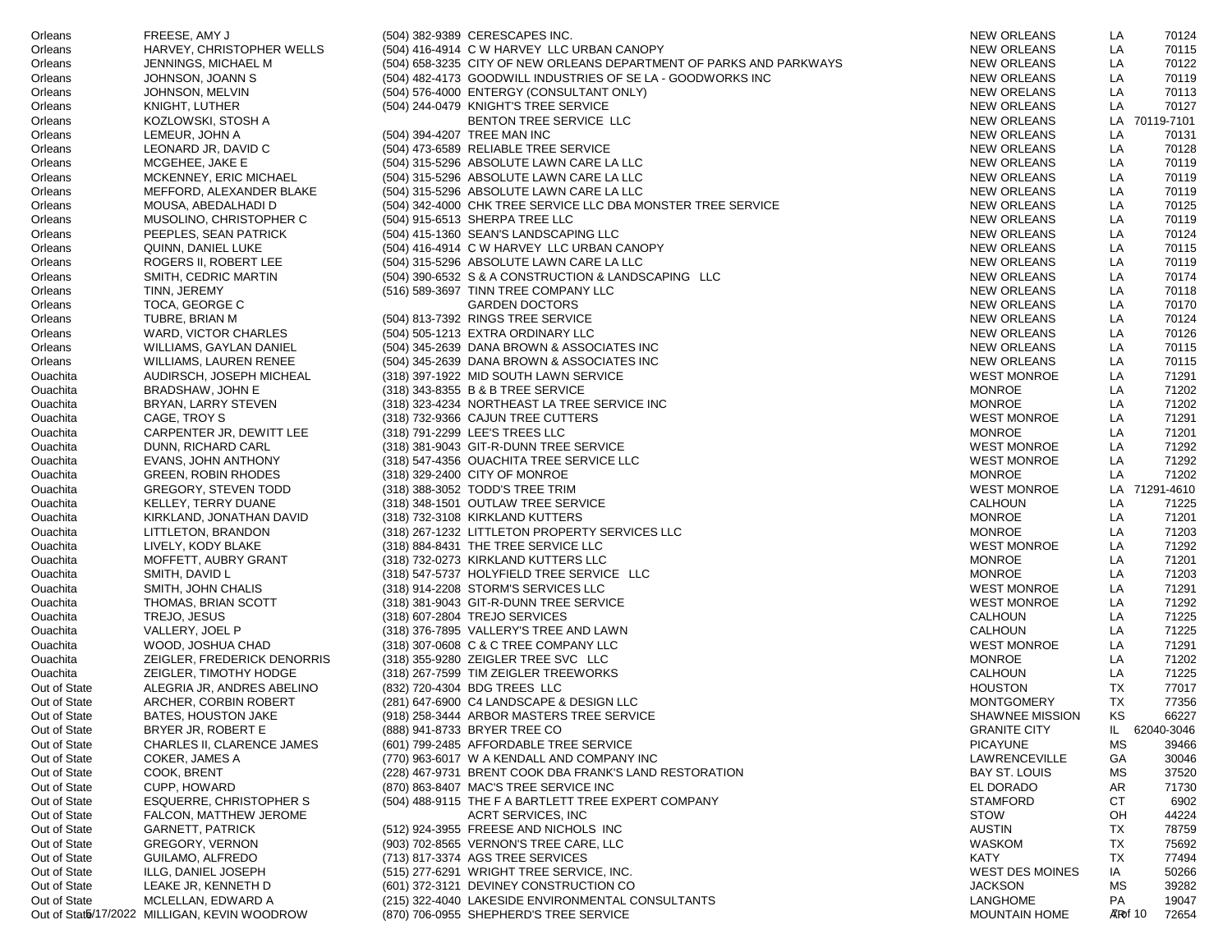| Orleans      | FREESE, AMY J                                | (504) 382-9389 CERESCAPES INC.                                      | <b>NEW ORLEANS</b>     | LA               | 70124         |
|--------------|----------------------------------------------|---------------------------------------------------------------------|------------------------|------------------|---------------|
| Orleans      | HARVEY, CHRISTOPHER WELLS                    | (504) 416-4914 C W HARVEY LLC URBAN CANOPY                          | <b>NEW ORLEANS</b>     | LA               | 70115         |
| Orleans      | JENNINGS, MICHAEL M                          | (504) 658-3235 CITY OF NEW ORLEANS DEPARTMENT OF PARKS AND PARKWAYS | <b>NEW ORLEANS</b>     | LA               | 70122         |
| Orleans      | JOHNSON, JOANN S                             | (504) 482-4173 GOODWILL INDUSTRIES OF SE LA - GOODWORKS INC         | <b>NEW ORLEANS</b>     | LA               | 70119         |
| Orleans      | JOHNSON, MELVIN                              | (504) 576-4000 ENTERGY (CONSULTANT ONLY)                            | <b>NEW ORELANS</b>     | LA               | 70113         |
| Orleans      | KNIGHT, LUTHER                               | (504) 244-0479 KNIGHT'S TREE SERVICE                                | <b>NEW ORLEANS</b>     | LA               | 70127         |
| Orleans      | KOZLOWSKI, STOSH A                           | BENTON TREE SERVICE LLC                                             | <b>NEW ORLEANS</b>     |                  | LA 70119-7101 |
| Orleans      | LEMEUR, JOHN A                               | (504) 394-4207 TREE MAN INC                                         | <b>NEW ORLEANS</b>     | LA               | 70131         |
| Orleans      | LEONARD JR, DAVID C                          | (504) 473-6589 RELIABLE TREE SERVICE                                | <b>NEW ORLEANS</b>     | LA               | 70128         |
| Orleans      | MCGEHEE, JAKE E                              | (504) 315-5296 ABSOLUTE LAWN CARE LA LLC                            | <b>NEW ORLEANS</b>     | LA               | 70119         |
| Orleans      | MCKENNEY, ERIC MICHAEL                       | (504) 315-5296 ABSOLUTE LAWN CARE LA LLC                            | <b>NEW ORLEANS</b>     | LA               | 70119         |
| Orleans      | MEFFORD, ALEXANDER BLAKE                     | (504) 315-5296 ABSOLUTE LAWN CARE LA LLC                            | <b>NEW ORLEANS</b>     | LA               | 70119         |
| Orleans      | MOUSA, ABEDALHADI D                          | (504) 342-4000 CHK TREE SERVICE LLC DBA MONSTER TREE SERVICE        | <b>NEW ORLEANS</b>     | LA               | 70125         |
| Orleans      | MUSOLINO, CHRISTOPHER C                      | (504) 915-6513 SHERPA TREE LLC                                      | <b>NEW ORLEANS</b>     | LA               | 70119         |
| Orleans      | PEEPLES, SEAN PATRICK                        | (504) 415-1360 SEAN'S LANDSCAPING LLC                               | <b>NEW ORLEANS</b>     | LA               | 70124         |
| Orleans      | QUINN, DANIEL LUKE                           | (504) 416-4914 C W HARVEY LLC URBAN CANOPY                          | <b>NEW ORLEANS</b>     | LA               | 70115         |
| Orleans      | ROGERS II, ROBERT LEE                        | (504) 315-5296 ABSOLUTE LAWN CARE LA LLC                            | <b>NEW ORLEANS</b>     | LA               | 70119         |
| Orleans      | SMITH, CEDRIC MARTIN                         | (504) 390-6532 S & A CONSTRUCTION & LANDSCAPING LLC                 | <b>NEW ORLEANS</b>     | LA               | 70174         |
| Orleans      | TINN, JEREMY                                 | (516) 589-3697 TINN TREE COMPANY LLC                                | <b>NEW ORLEANS</b>     | LA               | 70118         |
| Orleans      | TOCA, GEORGE C                               | <b>GARDEN DOCTORS</b>                                               | <b>NEW ORLEANS</b>     | LA               | 70170         |
| Orleans      | TUBRE, BRIAN M                               | (504) 813-7392 RINGS TREE SERVICE                                   | <b>NEW ORLEANS</b>     | LA               | 70124         |
| Orleans      | WARD, VICTOR CHARLES                         | (504) 505-1213 EXTRA ORDINARY LLC                                   | <b>NEW ORLEANS</b>     | LA               | 70126         |
| Orleans      | WILLIAMS, GAYLAN DANIEL                      | (504) 345-2639 DANA BROWN & ASSOCIATES INC                          | <b>NEW ORLEANS</b>     | LA               | 70115         |
| Orleans      | WILLIAMS, LAUREN RENEE                       | (504) 345-2639 DANA BROWN & ASSOCIATES INC                          | <b>NEW ORLEANS</b>     | LA               | 70115         |
| Ouachita     | AUDIRSCH, JOSEPH MICHEAL                     | (318) 397-1922 MID SOUTH LAWN SERVICE                               | <b>WEST MONROE</b>     | LA               | 71291         |
| Ouachita     | BRADSHAW, JOHN E                             | (318) 343-8355 B & B TREE SERVICE                                   | <b>MONROE</b>          | LA               | 71202         |
| Ouachita     | BRYAN, LARRY STEVEN                          | (318) 323-4234 NORTHEAST LA TREE SERVICE INC                        | <b>MONROE</b>          | LA               | 71202         |
| Ouachita     | CAGE, TROY S                                 | (318) 732-9366 CAJUN TREE CUTTERS                                   | <b>WEST MONROE</b>     | LA               | 71291         |
| Ouachita     | CARPENTER JR, DEWITT LEE                     | (318) 791-2299 LEE'S TREES LLC                                      | <b>MONROE</b>          | LA               | 71201         |
| Ouachita     | DUNN, RICHARD CARL                           | (318) 381-9043 GIT-R-DUNN TREE SERVICE                              | <b>WEST MONROE</b>     | LA               | 71292         |
| Ouachita     | EVANS, JOHN ANTHONY                          | (318) 547-4356 OUACHITA TREE SERVICE LLC                            | <b>WEST MONROE</b>     | LA               | 71292         |
| Ouachita     | <b>GREEN, ROBIN RHODES</b>                   | (318) 329-2400 CITY OF MONROE                                       | <b>MONROE</b>          | LA               | 71202         |
| Ouachita     | GREGORY, STEVEN TODD                         | (318) 388-3052 TODD'S TREE TRIM                                     | <b>WEST MONROE</b>     |                  | LA 71291-4610 |
| Ouachita     | KELLEY, TERRY DUANE                          | (318) 348-1501 OUTLAW TREE SERVICE                                  | <b>CALHOUN</b>         | LA               | 71225         |
| Ouachita     | KIRKLAND, JONATHAN DAVID                     | (318) 732-3108 KIRKLAND KUTTERS                                     | <b>MONROE</b>          | LA               | 71201         |
| Ouachita     | LITTLETON, BRANDON                           | (318) 267-1232 LITTLETON PROPERTY SERVICES LLC                      | <b>MONROE</b>          | LA               | 71203         |
| Ouachita     | LIVELY, KODY BLAKE                           | (318) 884-8431 THE TREE SERVICE LLC                                 | <b>WEST MONROE</b>     | LA               | 71292         |
| Ouachita     | MOFFETT, AUBRY GRANT                         | (318) 732-0273 KIRKLAND KUTTERS LLC                                 | <b>MONROE</b>          | LA               | 71201         |
| Ouachita     | SMITH, DAVID L                               | (318) 547-5737 HOLYFIELD TREE SERVICE LLC                           | <b>MONROE</b>          | LA               | 71203         |
| Ouachita     | SMITH, JOHN CHALIS                           | (318) 914-2208 STORM'S SERVICES LLC                                 | <b>WEST MONROE</b>     | LA               | 71291         |
| Ouachita     | THOMAS, BRIAN SCOTT                          | (318) 381-9043 GIT-R-DUNN TREE SERVICE                              | <b>WEST MONROE</b>     | LA               | 71292         |
| Ouachita     | TREJO, JESUS                                 | (318) 607-2804 TREJO SERVICES                                       | <b>CALHOUN</b>         | LA               | 71225         |
| Ouachita     | VALLERY, JOEL P                              | (318) 376-7895 VALLERY'S TREE AND LAWN                              | <b>CALHOUN</b>         | LA               | 71225         |
| Ouachita     | WOOD, JOSHUA CHAD                            | (318) 307-0608 C & C TREE COMPANY LLC                               | <b>WEST MONROE</b>     | LA               | 71291         |
| Ouachita     | ZEIGLER, FREDERICK DENORRIS                  | (318) 355-9280 ZEIGLER TREE SVC LLC                                 | <b>MONROE</b>          | LA               | 71202         |
| Ouachita     | ZEIGLER, TIMOTHY HODGE                       | (318) 267-7599 TIM ZEIGLER TREEWORKS                                | <b>CALHOUN</b>         | LA               | 71225         |
| Out of State | ALEGRIA JR, ANDRES ABELINO                   | (832) 720-4304 BDG TREES LLC                                        | <b>HOUSTON</b>         | TX               | 77017         |
| Out of State | ARCHER, CORBIN ROBERT                        | (281) 647-6900 C4 LANDSCAPE & DESIGN LLC                            | <b>MONTGOMERY</b>      | TX               | 77356         |
| Out of State | <b>BATES, HOUSTON JAKE</b>                   | (918) 258-3444 ARBOR MASTERS TREE SERVICE                           | SHAWNEE MISSION        | <b>KS</b>        | 66227         |
| Out of State | BRYER JR, ROBERT E                           | (888) 941-8733 BRYER TREE CO                                        | <b>GRANITE CITY</b>    | IL.              | 62040-3046    |
| Out of State | CHARLES II, CLARENCE JAMES                   | (601) 799-2485 AFFORDABLE TREE SERVICE                              | <b>PICAYUNE</b>        | МS               | 39466         |
| Out of State | COKER, JAMES A                               | (770) 963-6017 W A KENDALL AND COMPANY INC                          | <b>LAWRENCEVILLE</b>   | GА               | 30046         |
| Out of State | COOK, BRENT                                  | (228) 467-9731 BRENT COOK DBA FRANK'S LAND RESTORATION              | <b>BAY ST. LOUIS</b>   | МS               | 37520         |
| Out of State | CUPP, HOWARD                                 | (870) 863-8407 MAC'S TREE SERVICE INC                               | EL DORADO              | AR               | 71730         |
| Out of State | <b>ESQUERRE, CHRISTOPHER S</b>               | (504) 488-9115 THE F A BARTLETT TREE EXPERT COMPANY                 | <b>STAMFORD</b>        | СT               | 6902          |
| Out of State | FALCON, MATTHEW JEROME                       | ACRT SERVICES, INC                                                  | <b>STOW</b>            | OH               | 44224         |
| Out of State | <b>GARNETT, PATRICK</b>                      | (512) 924-3955 FREESE AND NICHOLS INC                               | <b>AUSTIN</b>          | TX               | 78759         |
| Out of State | <b>GREGORY, VERNON</b>                       | (903) 702-8565 VERNON'S TREE CARE, LLC                              | WASKOM                 | TX               | 75692         |
| Out of State | GUILAMO, ALFREDO                             | (713) 817-3374 AGS TREE SERVICES                                    | <b>KATY</b>            | TX               | 77494         |
| Out of State | ILLG, DANIEL JOSEPH                          | (515) 277-6291 WRIGHT TREE SERVICE, INC.                            | <b>WEST DES MOINES</b> | IA               | 50266         |
| Out of State | LEAKE JR, KENNETH D                          | (601) 372-3121 DEVINEY CONSTRUCTION CO                              | <b>JACKSON</b>         | МS               | 39282         |
| Out of State | MCLELLAN, EDWARD A                           | (215) 322-4040 LAKESIDE ENVIRONMENTAL CONSULTANTS                   | LANGHOME               | PA               | 19047         |
|              | Out of Stata/17/2022 MILLIGAN, KEVIN WOODROW | (870) 706-0955 SHEPHERD'S TREE SERVICE                              | <b>MOUNTAIN HOME</b>   | <b>ATR</b> of 10 | 72654         |
|              |                                              |                                                                     |                        |                  |               |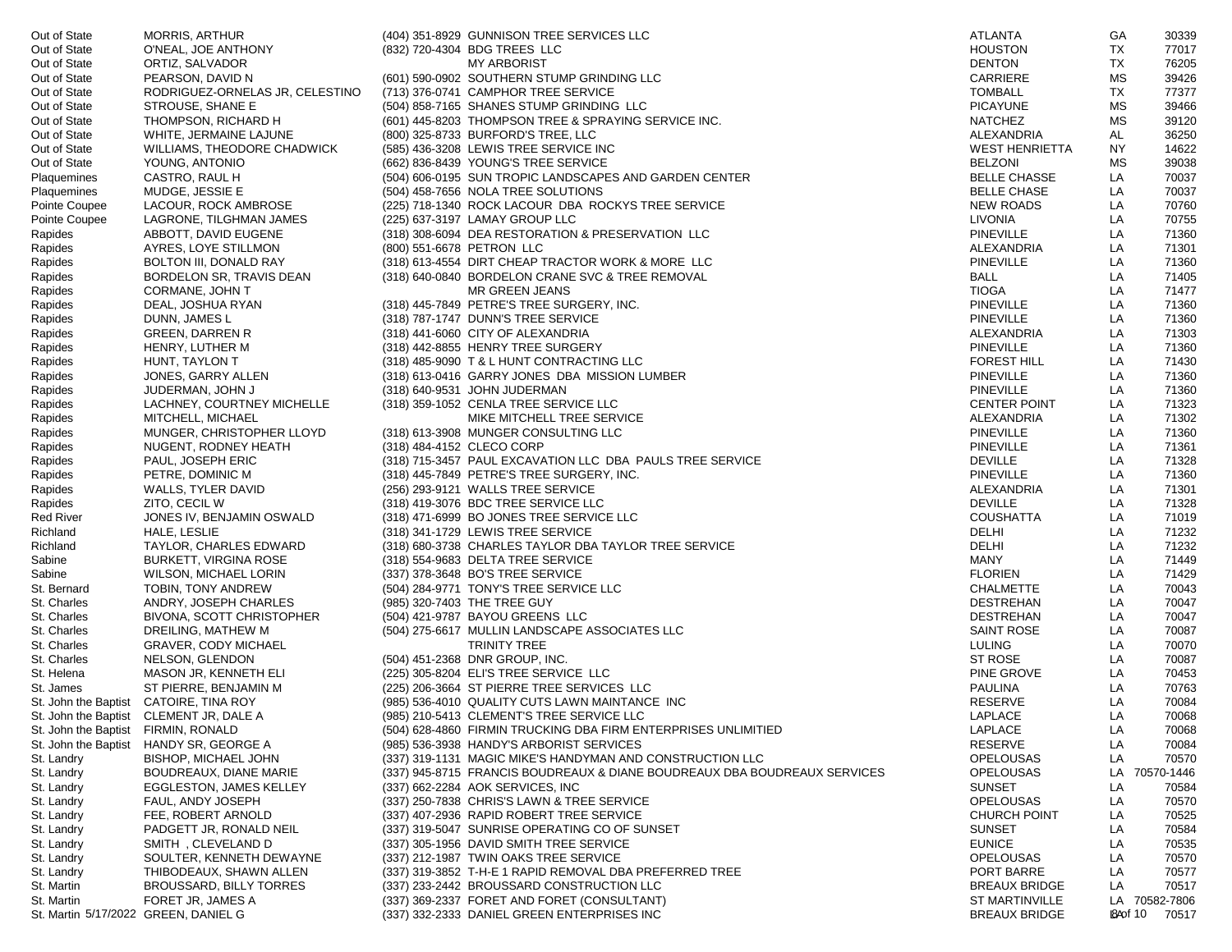| Out of State                         | <b>MORRIS, ARTHUR</b>                   | (404) 351-8929 GUNNISON TREE SERVICES LLC                                 | ATLANTA               | GA             | 30339         |
|--------------------------------------|-----------------------------------------|---------------------------------------------------------------------------|-----------------------|----------------|---------------|
| Out of State                         | O'NEAL, JOE ANTHONY                     | (832) 720-4304 BDG TREES LLC                                              | <b>HOUSTON</b>        | TX             | 77017         |
| Out of State                         | ORTIZ, SALVADOR                         | <b>MY ARBORIST</b>                                                        | <b>DENTON</b>         | TX             | 76205         |
| Out of State                         | PEARSON, DAVID N                        | (601) 590-0902 SOUTHERN STUMP GRINDING LLC                                | CARRIERE              | <b>MS</b>      | 39426         |
| Out of State                         | RODRIGUEZ-ORNELAS JR, CELESTINO         | (713) 376-0741 CAMPHOR TREE SERVICE                                       | <b>TOMBALL</b>        | TX             | 77377         |
| Out of State                         | STROUSE, SHANE E                        | (504) 858-7165 SHANES STUMP GRINDING LLC                                  | <b>PICAYUNE</b>       | МS             | 39466         |
| Out of State                         | THOMPSON, RICHARD H                     | (601) 445-8203 THOMPSON TREE & SPRAYING SERVICE INC.                      | <b>NATCHEZ</b>        | МS             | 39120         |
| Out of State                         | WHITE, JERMAINE LAJUNE                  | (800) 325-8733 BURFORD'S TREE, LLC                                        | ALEXANDRIA            | AL             | 36250         |
| Out of State                         | WILLIAMS, THEODORE CHADWICK             | (585) 436-3208 LEWIS TREE SERVICE INC                                     | <b>WEST HENRIETTA</b> | NY             | 14622         |
|                                      |                                         |                                                                           |                       |                |               |
| Out of State                         | YOUNG, ANTONIO                          | (662) 836-8439 YOUNG'S TREE SERVICE                                       | <b>BELZONI</b>        | МS             | 39038         |
| Plaquemines                          | CASTRO, RAUL H                          | (504) 606-0195 SUN TROPIC LANDSCAPES AND GARDEN CENTER                    | <b>BELLE CHASSE</b>   | LA             | 70037         |
| Plaquemines                          | MUDGE, JESSIE E                         | (504) 458-7656 NOLA TREE SOLUTIONS                                        | <b>BELLE CHASE</b>    | LA             | 70037         |
| Pointe Coupee                        | LACOUR, ROCK AMBROSE                    | (225) 718-1340 ROCK LACOUR DBA ROCKYS TREE SERVICE                        | <b>NEW ROADS</b>      | LA             | 70760         |
| Pointe Coupee                        | LAGRONE, TILGHMAN JAMES                 | (225) 637-3197 LAMAY GROUP LLC                                            | <b>LIVONIA</b>        | LA             | 70755         |
| Rapides                              | ABBOTT, DAVID EUGENE                    | (318) 308-6094 DEA RESTORATION & PRESERVATION LLC                         | <b>PINEVILLE</b>      | LA             | 71360         |
| Rapides                              | AYRES, LOYE STILLMON                    | (800) 551-6678 PETRON LLC                                                 | ALEXANDRIA            | LA             | 71301         |
| Rapides                              | BOLTON III, DONALD RAY                  | (318) 613-4554 DIRT CHEAP TRACTOR WORK & MORE LLC                         | PINEVILLE             | LA             | 71360         |
| Rapides                              | BORDELON SR, TRAVIS DEAN                | (318) 640-0840 BORDELON CRANE SVC & TREE REMOVAL                          | <b>BALL</b>           | LA             | 71405         |
| Rapides                              | CORMANE, JOHN T                         | MR GREEN JEANS                                                            | <b>TIOGA</b>          | LA             | 71477         |
| Rapides                              | DEAL, JOSHUA RYAN                       | (318) 445-7849 PETRE'S TREE SURGERY, INC.                                 | PINEVILLE             | LA             | 71360         |
| Rapides                              | DUNN, JAMES L                           | (318) 787-1747 DUNN'S TREE SERVICE                                        | <b>PINEVILLE</b>      | LA             | 71360         |
| Rapides                              | GREEN, DARREN R                         | (318) 441-6060 CITY OF ALEXANDRIA                                         | ALEXANDRIA            | LA             | 71303         |
| Rapides                              | HENRY, LUTHER M                         | (318) 442-8855 HENRY TREE SURGERY                                         | PINEVILLE             | LA             | 71360         |
| Rapides                              | HUNT, TAYLON T                          | (318) 485-9090 T & L HUNT CONTRACTING LLC                                 | <b>FOREST HILL</b>    | LA             | 71430         |
|                                      |                                         |                                                                           | PINEVILLE             | LA             | 71360         |
| Rapides                              | JONES, GARRY ALLEN                      | (318) 613-0416 GARRY JONES DBA MISSION LUMBER                             | <b>PINEVILLE</b>      |                |               |
| Rapides                              | JUDERMAN, JOHN J                        | (318) 640-9531 JOHN JUDERMAN                                              |                       | LA             | 71360         |
| Rapides                              | LACHNEY, COURTNEY MICHELLE              | (318) 359-1052 CENLA TREE SERVICE LLC                                     | <b>CENTER POINT</b>   | LA             | 71323         |
| Rapides                              | MITCHELL, MICHAEL                       | MIKE MITCHELL TREE SERVICE                                                | <b>ALEXANDRIA</b>     | LA             | 71302         |
| Rapides                              | MUNGER, CHRISTOPHER LLOYD               | (318) 613-3908 MUNGER CONSULTING LLC                                      | PINEVILLE             | LA             | 71360         |
| Rapides                              | NUGENT, RODNEY HEATH                    | (318) 484-4152 CLECO CORP                                                 | PINEVILLE             | LA             | 71361         |
| Rapides                              | PAUL, JOSEPH ERIC                       | (318) 715-3457 PAUL EXCAVATION LLC DBA PAULS TREE SERVICE                 | <b>DEVILLE</b>        | LA             | 71328         |
| Rapides                              | PETRE, DOMINIC M                        | (318) 445-7849 PETRE'S TREE SURGERY, INC.                                 | <b>PINEVILLE</b>      | LA             | 71360         |
| Rapides                              | WALLS, TYLER DAVID                      | (256) 293-9121 WALLS TREE SERVICE                                         | ALEXANDRIA            | LA             | 71301         |
| Rapides                              | ZITO, CECIL W                           | (318) 419-3076 BDC TREE SERVICE LLC                                       | <b>DEVILLE</b>        | LA             | 71328         |
| <b>Red River</b>                     | JONES IV, BENJAMIN OSWALD               | (318) 471-6999 BO JONES TREE SERVICE LLC                                  | <b>COUSHATTA</b>      | LA             | 71019         |
| Richland                             | HALE, LESLIE                            | (318) 341-1729 LEWIS TREE SERVICE                                         | <b>DELHI</b>          | LA             | 71232         |
| Richland                             | TAYLOR, CHARLES EDWARD                  | (318) 680-3738 CHARLES TAYLOR DBA TAYLOR TREE SERVICE                     | DELHI                 | LA             | 71232         |
| Sabine                               | <b>BURKETT, VIRGINA ROSE</b>            | (318) 554-9683 DELTA TREE SERVICE                                         | MANY                  | LA             | 71449         |
| Sabine                               | WILSON, MICHAEL LORIN                   | (337) 378-3648 BO'S TREE SERVICE                                          | <b>FLORIEN</b>        | LA             | 71429         |
| St. Bernard                          | TOBIN, TONY ANDREW                      | (504) 284-9771 TONY'S TREE SERVICE LLC                                    | <b>CHALMETTE</b>      | LA             | 70043         |
| St. Charles                          | ANDRY, JOSEPH CHARLES                   | (985) 320-7403 THE TREE GUY                                               | <b>DESTREHAN</b>      | LA             | 70047         |
| St. Charles                          | BIVONA, SCOTT CHRISTOPHER               | (504) 421-9787 BAYOU GREENS LLC                                           | <b>DESTREHAN</b>      | LA             | 70047         |
| St. Charles                          | DREILING, MATHEW M                      | (504) 275-6617 MULLIN LANDSCAPE ASSOCIATES LLC                            | SAINT ROSE            | LA             | 70087         |
|                                      |                                         | <b>TRINITY TREE</b>                                                       | <b>LULING</b>         |                | 70070         |
| St. Charles                          | <b>GRAVER, CODY MICHAEL</b>             | (504) 451-2368 DNR GROUP, INC.                                            |                       | LA             |               |
| St. Charles                          | NELSON, GLENDON                         |                                                                           | ST ROSE               | LA             | 70087         |
| St. Helena                           | MASON JR, KENNETH ELI                   | (225) 305-8204 ELI'S TREE SERVICE LLC                                     | PINE GROVE            | LA             | 70453         |
| St. James                            | ST PIERRE, BENJAMIN M                   | (225) 206-3664 ST PIERRE TREE SERVICES LLC                                | PAULINA               | LA             | 70763         |
|                                      | St. John the Baptist CATOIRE, TINA ROY  | (985) 536-4010 QUALITY CUTS LAWN MAINTANCE INC                            | <b>RESERVE</b>        | LA             | 70084         |
|                                      | St. John the Baptist CLEMENT JR, DALE A | (985) 210-5413 CLEMENT'S TREE SERVICE LLC                                 | LAPLACE               | LA             | 70068         |
| St. John the Baptist                 | FIRMIN, RONALD                          | (504) 628-4860 FIRMIN TRUCKING DBA FIRM ENTERPRISES UNLIMITIED            | LAPLACE               | LA             | 70068         |
| St. John the Baptist                 | HANDY SR, GEORGE A                      | (985) 536-3938 HANDY'S ARBORIST SERVICES                                  | <b>RESERVE</b>        | LA             | 70084         |
| St. Landry                           | <b>BISHOP, MICHAEL JOHN</b>             | (337) 319-1131 MAGIC MIKE'S HANDYMAN AND CONSTRUCTION LLC                 | <b>OPELOUSAS</b>      | LA             | 70570         |
| St. Landry                           | BOUDREAUX, DIANE MARIE                  | (337) 945-8715 FRANCIS BOUDREAUX & DIANE BOUDREAUX DBA BOUDREAUX SERVICES | <b>OPELOUSAS</b>      | LA             | 70570-1446    |
| St. Landry                           | <b>EGGLESTON, JAMES KELLEY</b>          | (337) 662-2284 AOK SERVICES, INC                                          | <b>SUNSET</b>         | LA             | 70584         |
| St. Landry                           | FAUL. ANDY JOSEPH                       | (337) 250-7838 CHRIS'S LAWN & TREE SERVICE                                | <b>OPELOUSAS</b>      | LA             | 70570         |
| St. Landry                           | FEE, ROBERT ARNOLD                      | (337) 407-2936 RAPID ROBERT TREE SERVICE                                  | <b>CHURCH POINT</b>   | LA             | 70525         |
| St. Landry                           | PADGETT JR, RONALD NEIL                 | (337) 319-5047 SUNRISE OPERATING CO OF SUNSET                             | <b>SUNSET</b>         | LA             | 70584         |
| St. Landry                           | SMITH, CLEVELAND D                      | (337) 305-1956 DAVID SMITH TREE SERVICE                                   | <b>EUNICE</b>         | LA             | 70535         |
| St. Landry                           | SOULTER, KENNETH DEWAYNE                | (337) 212-1987 TWIN OAKS TREE SERVICE                                     | <b>OPELOUSAS</b>      | LA             | 70570         |
| St. Landry                           | THIBODEAUX, SHAWN ALLEN                 | (337) 319-3852 T-H-E 1 RAPID REMOVAL DBA PREFERRED TREE                   | PORT BARRE            | LA             | 70577         |
| St. Martin                           | <b>BROUSSARD, BILLY TORRES</b>          | (337) 233-2442 BROUSSARD CONSTRUCTION LLC                                 | <b>BREAUX BRIDGE</b>  | LA             | 70517         |
| St. Martin                           | FORET JR, JAMES A                       | (337) 369-2337 FORET AND FORET (CONSULTANT)                               | <b>ST MARTINVILLE</b> |                | LA 70582-7806 |
| St. Martin 5/17/2022 GREEN, DANIEL G |                                         |                                                                           | <b>BREAUX BRIDGE</b>  |                |               |
|                                      |                                         | (337) 332-2333 DANIEL GREEN ENTERPRISES INC                               |                       | <b>BAof 10</b> | 70517         |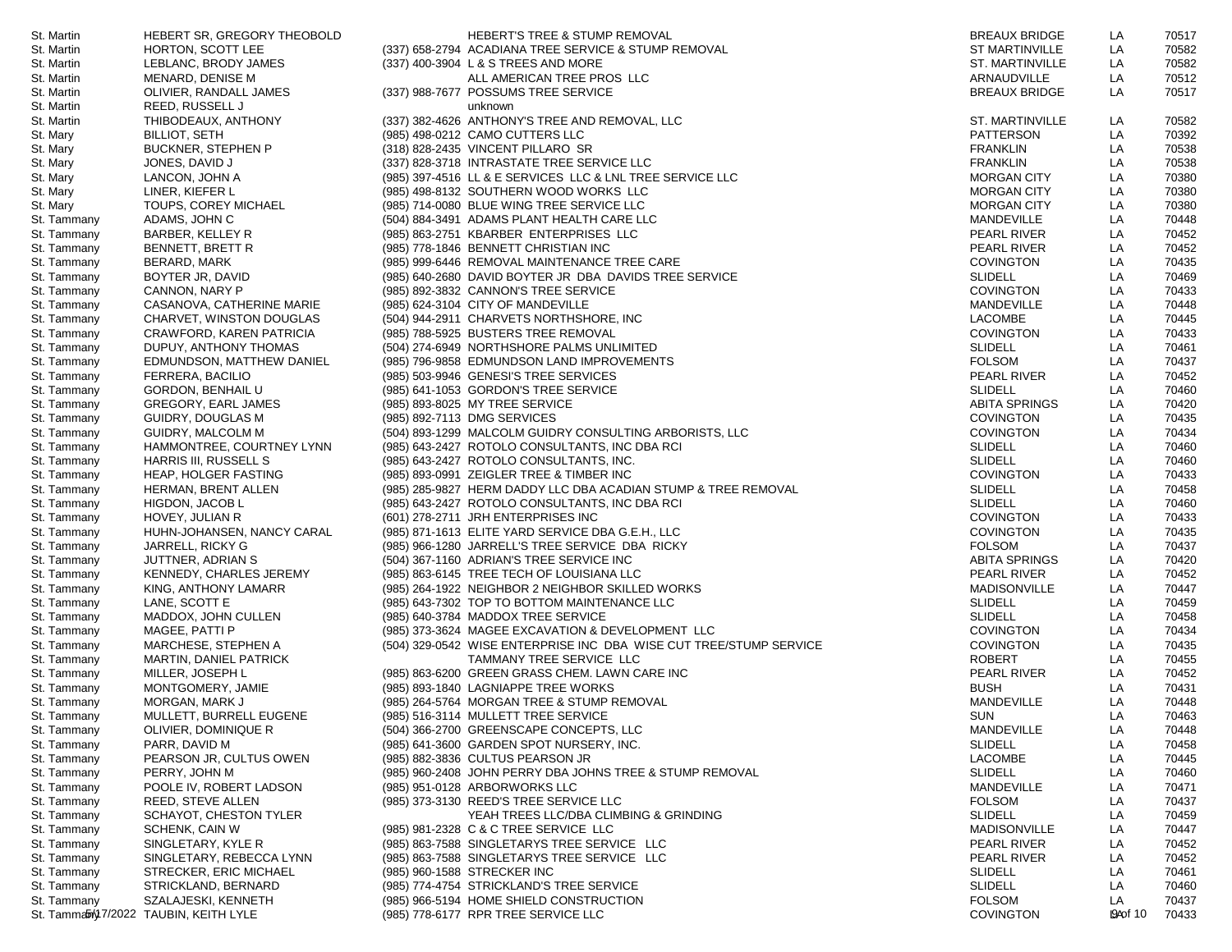| St. Martin  | HEBERT SR, GREGORY THEOBOLD                     | HEBERT'S TREE & STUMP REMOVAL                                      | <b>BREAUX BRIDGE</b>              | LA        | 70517 |
|-------------|-------------------------------------------------|--------------------------------------------------------------------|-----------------------------------|-----------|-------|
| St. Martin  | HORTON, SCOTT LEE                               | (337) 658-2794 ACADIANA TREE SERVICE & STUMP REMOVAL               | <b>ST MARTINVILLE</b>             | LA        | 70582 |
| St. Martin  | LEBLANC, BRODY JAMES                            | (337) 400-3904 L & S TREES AND MORE                                | ST. MARTINVILLE                   | LA        | 70582 |
| St. Martin  | MENARD, DENISE M                                | ALL AMERICAN TREE PROS LLC                                         | ARNAUDVILLE                       | LA        | 70512 |
| St. Martin  | OLIVIER, RANDALL JAMES                          | (337) 988-7677 POSSUMS TREE SERVICE                                | <b>BREAUX BRIDGE</b>              | LA        | 70517 |
| St. Martin  | <b>REED, RUSSELL J</b>                          | unknown                                                            |                                   |           |       |
| St. Martin  | THIBODEAUX, ANTHONY                             | (337) 382-4626 ANTHONY'S TREE AND REMOVAL, LLC                     | <b>ST. MARTINVILLE</b>            | LA        | 70582 |
| St. Mary    | <b>BILLIOT, SETH</b>                            | (985) 498-0212 CAMO CUTTERS LLC                                    | PATTERSON                         | LA        | 70392 |
| St. Mary    | <b>BUCKNER, STEPHEN P</b>                       | (318) 828-2435 VINCENT PILLARO SR                                  | <b>FRANKLIN</b>                   | LA        | 70538 |
| St. Mary    | JONES, DAVID J                                  | (337) 828-3718 INTRASTATE TREE SERVICE LLC                         | <b>FRANKLIN</b>                   | LA        | 70538 |
| St. Mary    | LANCON, JOHN A                                  | (985) 397-4516 LL & E SERVICES LLC & LNL TREE SERVICE LLC          | <b>MORGAN CITY</b>                | LA        | 70380 |
| St. Mary    | LINER, KIEFER L                                 | (985) 498-8132 SOUTHERN WOOD WORKS LLC                             | <b>MORGAN CITY</b>                | LA        | 70380 |
| St. Mary    | TOUPS, COREY MICHAEL                            | (985) 714-0080 BLUE WING TREE SERVICE LLC                          | <b>MORGAN CITY</b>                | LA        | 70380 |
| St. Tammany | ADAMS, JOHN C                                   | (504) 884-3491 ADAMS PLANT HEALTH CARE LLC                         | MANDEVILLE                        | LA        | 70448 |
| St. Tammany | BARBER, KELLEY R                                | (985) 863-2751 KBARBER ENTERPRISES LLC                             | PEARL RIVER                       | LA        | 70452 |
| St. Tammany | BENNETT, BRETT R                                | (985) 778-1846 BENNETT CHRISTIAN INC                               | PEARL RIVER                       | LA        | 70452 |
| St. Tammany | BERARD, MARK                                    | (985) 999-6446 REMOVAL MAINTENANCE TREE CARE                       | <b>COVINGTON</b>                  | LA        | 70435 |
| St. Tammany | BOYTER JR, DAVID                                | (985) 640-2680 DAVID BOYTER JR DBA DAVIDS TREE SERVICE             | <b>SLIDELL</b>                    | LA        | 70469 |
| St. Tammany | CANNON, NARY P                                  | (985) 892-3832 CANNON'S TREE SERVICE                               | <b>COVINGTON</b>                  | LA        | 70433 |
| St. Tammany | CASANOVA, CATHERINE MARIE                       | (985) 624-3104 CITY OF MANDEVILLE                                  | MANDEVILLE                        | LA        | 70448 |
| St. Tammany | CHARVET, WINSTON DOUGLAS                        | (504) 944-2911 CHARVETS NORTHSHORE, INC                            | LACOMBE                           | LA        | 70445 |
| St. Tammany | CRAWFORD, KAREN PATRICIA                        | (985) 788-5925 BUSTERS TREE REMOVAL                                | <b>COVINGTON</b>                  | LA        | 70433 |
| St. Tammany | DUPUY, ANTHONY THOMAS                           | (504) 274-6949 NORTHSHORE PALMS UNLIMITED                          | <b>SLIDELL</b>                    | LA        | 70461 |
| St. Tammany | EDMUNDSON, MATTHEW DANIEL                       | (985) 796-9858 EDMUNDSON LAND IMPROVEMENTS                         | <b>FOLSOM</b>                     | LA        | 70437 |
| St. Tammany | FERRERA, BACILIO                                | (985) 503-9946 GENESI'S TREE SERVICES                              | PEARL RIVER                       | LA        | 70452 |
| St. Tammany | <b>GORDON, BENHAIL U</b>                        | (985) 641-1053 GORDON'S TREE SERVICE                               | <b>SLIDELL</b>                    | LA        | 70460 |
| St. Tammany | GREGORY, EARL JAMES                             | (985) 893-8025 MY TREE SERVICE                                     | ABITA SPRINGS                     | LA        | 70420 |
| St. Tammany | GUIDRY, DOUGLAS M                               | (985) 892-7113 DMG SERVICES                                        | <b>COVINGTON</b>                  | LA        | 70435 |
| St. Tammany | GUIDRY, MALCOLM M                               | (504) 893-1299 MALCOLM GUIDRY CONSULTING ARBORISTS, LLC            | <b>COVINGTON</b>                  | LA        | 70434 |
| St. Tammany | HAMMONTREE, COURTNEY LYNN                       | (985) 643-2427 ROTOLO CONSULTANTS, INC DBA RCI                     | <b>SLIDELL</b>                    | LA        | 70460 |
| St. Tammany | HARRIS III, RUSSELL S                           | (985) 643-2427 ROTOLO CONSULTANTS, INC.                            | <b>SLIDELL</b>                    | LA        | 70460 |
| St. Tammany | <b>HEAP, HOLGER FASTING</b>                     | (985) 893-0991 ZEIGLER TREE & TIMBER INC                           | <b>COVINGTON</b>                  | LA        | 70433 |
| St. Tammany | HERMAN, BRENT ALLEN                             | (985) 285-9827 HERM DADDY LLC DBA ACADIAN STUMP & TREE REMOVAL     | <b>SLIDELL</b>                    | LA        | 70458 |
| St. Tammany | HIGDON, JACOB L                                 | (985) 643-2427 ROTOLO CONSULTANTS, INC DBA RCI                     | <b>SLIDELL</b>                    | LA        | 70460 |
| St. Tammany | HOVEY, JULIAN R                                 | (601) 278-2711 JRH ENTERPRISES INC                                 | <b>COVINGTON</b>                  | LA        | 70433 |
| St. Tammany | HUHN-JOHANSEN, NANCY CARAL                      | (985) 871-1613 ELITE YARD SERVICE DBA G.E.H., LLC                  | <b>COVINGTON</b>                  | LA        | 70435 |
| St. Tammany |                                                 | (985) 966-1280 JARRELL'S TREE SERVICE DBA RICKY                    | <b>FOLSOM</b>                     | LA        | 70437 |
| St. Tammany | JARRELL, RICKY G                                | (504) 367-1160 ADRIAN'S TREE SERVICE INC                           | ABITA SPRINGS                     | LA        | 70420 |
| St. Tammany | JUTTNER, ADRIAN S                               |                                                                    |                                   | LA        |       |
|             | KENNEDY, CHARLES JEREMY                         | (985) 863-6145 TREE TECH OF LOUISIANA LLC                          | PEARL RIVER                       |           | 70452 |
| St. Tammany | KING, ANTHONY LAMARR                            | (985) 264-1922 NEIGHBOR 2 NEIGHBOR SKILLED WORKS                   | <b>MADISONVILLE</b>               | LA        | 70447 |
| St. Tammany | LANE, SCOTT E                                   | (985) 643-7302 TOP TO BOTTOM MAINTENANCE LLC                       | <b>SLIDELL</b>                    | LA        | 70459 |
| St. Tammany | MADDOX, JOHN CULLEN                             | (985) 640-3784 MADDOX TREE SERVICE                                 | <b>SLIDELL</b>                    | LA        | 70458 |
| St. Tammany | MAGEE, PATTI P                                  | (985) 373-3624 MAGEE EXCAVATION & DEVELOPMENT LLC                  | <b>COVINGTON</b>                  | LA        | 70434 |
| St. Tammany | MARCHESE, STEPHEN A                             | (504) 329-0542 WISE ENTERPRISE INC DBA WISE CUT TREE/STUMP SERVICE | <b>COVINGTON</b><br><b>ROBERT</b> | LA        | 70435 |
| St. Tammany | MARTIN, DANIEL PATRICK                          | TAMMANY TREE SERVICE LLC                                           |                                   | LA        | 70455 |
| St. Tammany | MILLER, JOSEPH L                                | (985) 863-6200 GREEN GRASS CHEM. LAWN CARE INC                     | PEARL RIVER                       | LA<br>LA  | 70452 |
| St. Tammany | MONTGOMERY, JAMIE                               | (985) 893-1840 LAGNIAPPE TREE WORKS                                | <b>BUSH</b><br>MANDEVILLE         | LA        | 70431 |
| St. Tammany | MORGAN, MARK J                                  | (985) 264-5764 MORGAN TREE & STUMP REMOVAL                         |                                   |           | 70448 |
| St. Tammany | MULLETT, BURRELL EUGENE<br>OLIVIER, DOMINIQUE R | (985) 516-3114 MULLETT TREE SERVICE                                | <b>SUN</b>                        | LA        | 70463 |
| St. Tammany |                                                 | (504) 366-2700 GREENSCAPE CONCEPTS, LLC                            | MANDEVILLE                        | LA        | 70448 |
| St. Tammany | PARR, DAVID M                                   | (985) 641-3600 GARDEN SPOT NURSERY, INC.                           | <b>SLIDELL</b>                    | LA        | 70458 |
| St. Tammany | PEARSON JR, CULTUS OWEN                         | (985) 882-3836 CULTUS PEARSON JR                                   | LACOMBE                           | LA        | 70445 |
| St. Tammany | PERRY, JOHN M                                   | (985) 960-2408 JOHN PERRY DBA JOHNS TREE & STUMP REMOVAL           | <b>SLIDELL</b>                    | LA        | 70460 |
| St. Tammany | POOLE IV, ROBERT LADSON                         | (985) 951-0128 ARBORWORKS LLC                                      | MANDEVILLE                        | LA        | 70471 |
| St. Tammany | REED, STEVE ALLEN                               | (985) 373-3130 REED'S TREE SERVICE LLC                             | <b>FOLSOM</b>                     | LA        | 70437 |
| St. Tammany | SCHAYOT, CHESTON TYLER                          | YEAH TREES LLC/DBA CLIMBING & GRINDING                             | <b>SLIDELL</b>                    | LA        | 70459 |
| St. Tammany | SCHENK, CAIN W                                  | (985) 981-2328 C & C TREE SERVICE LLC                              | MADISONVILLE                      | LA        | 70447 |
| St. Tammany | SINGLETARY, KYLE R                              | (985) 863-7588 SINGLETARYS TREE SERVICE LLC                        | <b>PEARL RIVER</b>                | LA        | 70452 |
| St. Tammany | SINGLETARY, REBECCA LYNN                        | (985) 863-7588 SINGLETARYS TREE SERVICE LLC                        | PEARL RIVER                       | LA        | 70452 |
| St. Tammany | <b>STRECKER, ERIC MICHAEL</b>                   | (985) 960-1588 STRECKER INC                                        | <b>SLIDELL</b>                    | LA        | 70461 |
| St. Tammany | STRICKLAND, BERNARD                             | (985) 774-4754 STRICKLAND'S TREE SERVICE                           | <b>SLIDELL</b>                    | LA        | 70460 |
| St. Tammany | SZALAJESKI, KENNETH                             | (985) 966-5194 HOME SHIELD CONSTRUCTION                            | <b>FOLSOM</b>                     | LA        | 70437 |
|             | St. Tammably 7/2022 TAUBIN, KEITH LYLE          | (985) 778-6177 RPR TREE SERVICE LLC                                | <b>COVINGTON</b>                  | I94 of 10 | 70433 |